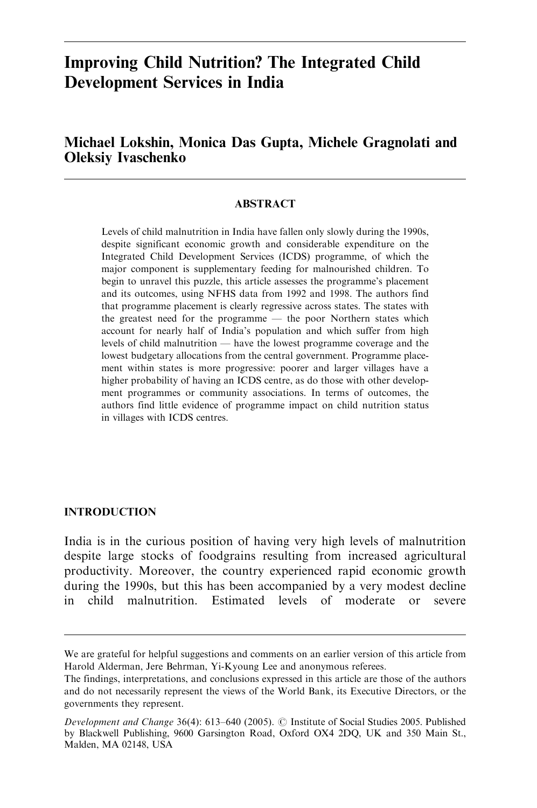# Improving Child Nutrition? The Integrated Child Development Services in India

# Michael Lokshin, Monica Das Gupta, Michele Gragnolati and Oleksiy Ivaschenko

## **ABSTRACT**

Levels of child malnutrition in India have fallen only slowly during the 1990s, despite significant economic growth and considerable expenditure on the Integrated Child Development Services (ICDS) programme, of which the major component is supplementary feeding for malnourished children. To begin to unravel this puzzle, this article assesses the programme's placement and its outcomes, using NFHS data from 1992 and 1998. The authors find that programme placement is clearly regressive across states. The states with the greatest need for the programme — the poor Northern states which account for nearly half of India's population and which suffer from high levels of child malnutrition — have the lowest programme coverage and the lowest budgetary allocations from the central government. Programme placement within states is more progressive: poorer and larger villages have a higher probability of having an ICDS centre, as do those with other development programmes or community associations. In terms of outcomes, the authors find little evidence of programme impact on child nutrition status in villages with ICDS centres.

#### INTRODUCTION

India is in the curious position of having very high levels of malnutrition despite large stocks of foodgrains resulting from increased agricultural productivity. Moreover, the country experienced rapid economic growth during the 1990s, but this has been accompanied by a very modest decline in child malnutrition. Estimated levels of moderate or severe

We are grateful for helpful suggestions and comments on an earlier version of this article from Harold Alderman, Jere Behrman, Yi-Kyoung Lee and anonymous referees.

The findings, interpretations, and conclusions expressed in this article are those of the authors and do not necessarily represent the views of the World Bank, its Executive Directors, or the governments they represent.

Development and Change 36(4): 613–640 (2005). © Institute of Social Studies 2005. Published by Blackwell Publishing, 9600 Garsington Road, Oxford OX4 2DQ, UK and 350 Main St., Malden, MA 02148, USA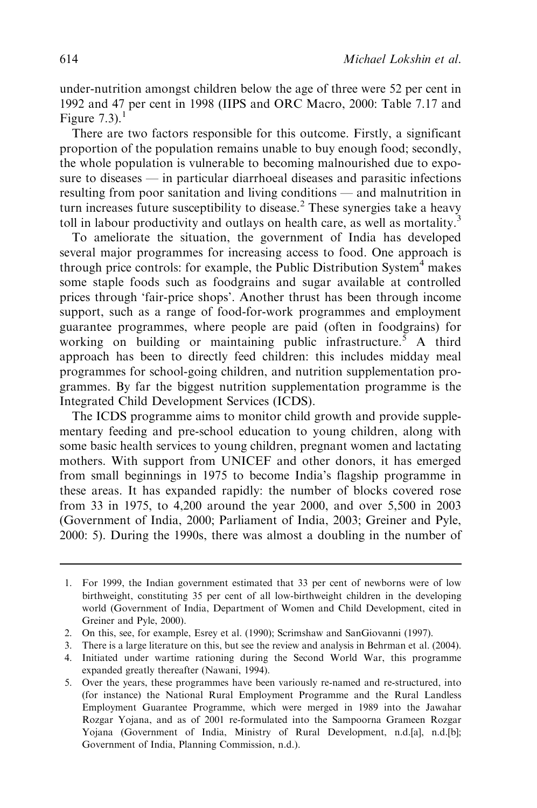under-nutrition amongst children below the age of three were 52 per cent in 1992 and 47 per cent in 1998 (IIPS and ORC Macro, 2000: Table 7.17 and Figure  $7.3$ ).<sup>1</sup>

There are two factors responsible for this outcome. Firstly, a significant proportion of the population remains unable to buy enough food; secondly, the whole population is vulnerable to becoming malnourished due to exposure to diseases — in particular diarrhoeal diseases and parasitic infections resulting from poor sanitation and living conditions — and malnutrition in turn increases future susceptibility to disease.<sup>2</sup> These synergies take a heavy toll in labour productivity and outlays on health care, as well as mortality.<sup>3</sup>

To ameliorate the situation, the government of India has developed several major programmes for increasing access to food. One approach is through price controls: for example, the Public Distribution System<sup>4</sup> makes some staple foods such as foodgrains and sugar available at controlled prices through 'fair-price shops'. Another thrust has been through income support, such as a range of food-for-work programmes and employment guarantee programmes, where people are paid (often in foodgrains) for working on building or maintaining public infrastructure.<sup>5</sup> A third approach has been to directly feed children: this includes midday meal programmes for school-going children, and nutrition supplementation programmes. By far the biggest nutrition supplementation programme is the Integrated Child Development Services (ICDS).

The ICDS programme aims to monitor child growth and provide supplementary feeding and pre-school education to young children, along with some basic health services to young children, pregnant women and lactating mothers. With support from UNICEF and other donors, it has emerged from small beginnings in 1975 to become India's flagship programme in these areas. It has expanded rapidly: the number of blocks covered rose from 33 in 1975, to 4,200 around the year 2000, and over 5,500 in 2003 (Government of India, 2000; Parliament of India, 2003; Greiner and Pyle, 2000: 5). During the 1990s, there was almost a doubling in the number of

<sup>1.</sup> For 1999, the Indian government estimated that 33 per cent of newborns were of low birthweight, constituting 35 per cent of all low-birthweight children in the developing world (Government of India, Department of Women and Child Development, cited in Greiner and Pyle, 2000).

<sup>2.</sup> On this, see, for example, Esrey et al. (1990); Scrimshaw and SanGiovanni (1997).

<sup>3.</sup> There is a large literature on this, but see the review and analysis in Behrman et al. (2004).

<sup>4.</sup> Initiated under wartime rationing during the Second World War, this programme expanded greatly thereafter (Nawani, 1994).

<sup>5.</sup> Over the years, these programmes have been variously re-named and re-structured, into (for instance) the National Rural Employment Programme and the Rural Landless Employment Guarantee Programme, which were merged in 1989 into the Jawahar Rozgar Yojana, and as of 2001 re-formulated into the Sampoorna Grameen Rozgar Yojana (Government of India, Ministry of Rural Development, n.d.[a], n.d.[b]; Government of India, Planning Commission, n.d.).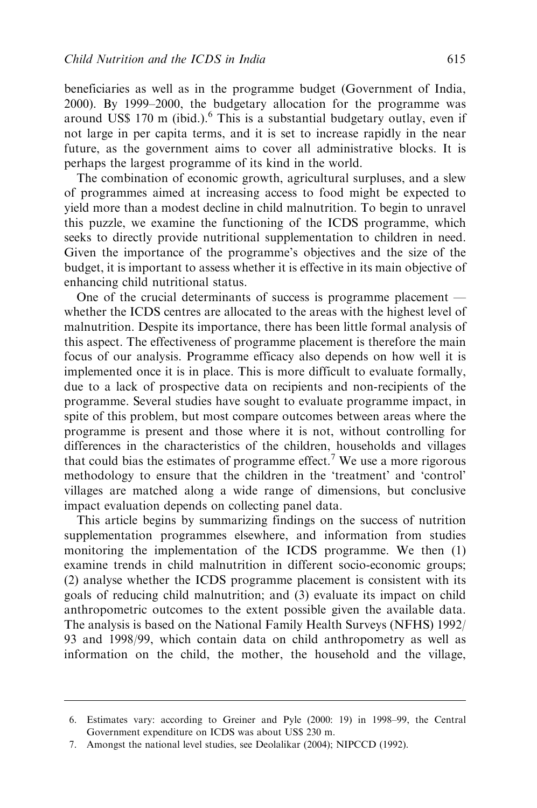beneficiaries as well as in the programme budget (Government of India, 2000). By 1999–2000, the budgetary allocation for the programme was around US\$ 170 m (ibid.). $<sup>6</sup>$  This is a substantial budgetary outlay, even if</sup> not large in per capita terms, and it is set to increase rapidly in the near future, as the government aims to cover all administrative blocks. It is perhaps the largest programme of its kind in the world.

The combination of economic growth, agricultural surpluses, and a slew of programmes aimed at increasing access to food might be expected to yield more than a modest decline in child malnutrition. To begin to unravel this puzzle, we examine the functioning of the ICDS programme, which seeks to directly provide nutritional supplementation to children in need. Given the importance of the programme's objectives and the size of the budget, it is important to assess whether it is effective in its main objective of enhancing child nutritional status.

One of the crucial determinants of success is programme placement whether the ICDS centres are allocated to the areas with the highest level of malnutrition. Despite its importance, there has been little formal analysis of this aspect. The effectiveness of programme placement is therefore the main focus of our analysis. Programme efficacy also depends on how well it is implemented once it is in place. This is more difficult to evaluate formally, due to a lack of prospective data on recipients and non-recipients of the programme. Several studies have sought to evaluate programme impact, in spite of this problem, but most compare outcomes between areas where the programme is present and those where it is not, without controlling for differences in the characteristics of the children, households and villages that could bias the estimates of programme effect.<sup>7</sup> We use a more rigorous methodology to ensure that the children in the 'treatment' and 'control' villages are matched along a wide range of dimensions, but conclusive impact evaluation depends on collecting panel data.

This article begins by summarizing findings on the success of nutrition supplementation programmes elsewhere, and information from studies monitoring the implementation of the ICDS programme. We then (1) examine trends in child malnutrition in different socio-economic groups; (2) analyse whether the ICDS programme placement is consistent with its goals of reducing child malnutrition; and (3) evaluate its impact on child anthropometric outcomes to the extent possible given the available data. The analysis is based on the National Family Health Surveys (NFHS) 1992/ 93 and 1998/99, which contain data on child anthropometry as well as information on the child, the mother, the household and the village,

<sup>6.</sup> Estimates vary: according to Greiner and Pyle (2000: 19) in 1998–99, the Central Government expenditure on ICDS was about US\$ 230 m.

<sup>7.</sup> Amongst the national level studies, see Deolalikar (2004); NIPCCD (1992).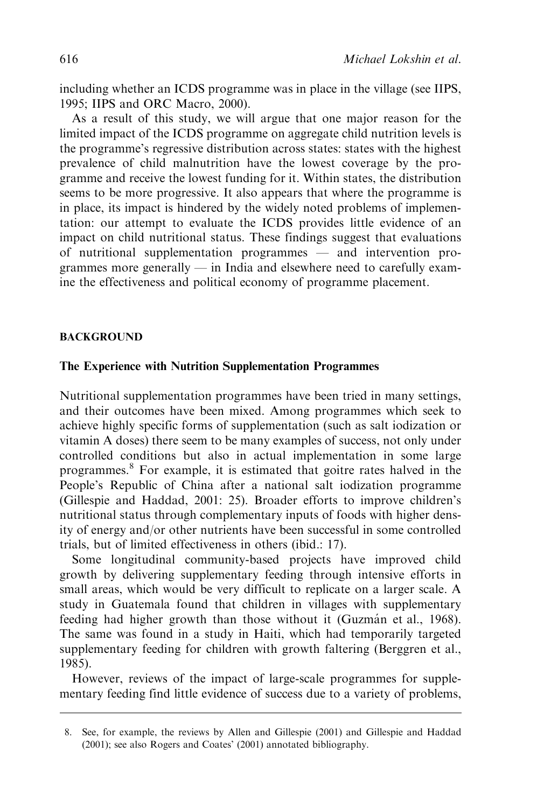including whether an ICDS programme was in place in the village (see IIPS, 1995; IIPS and ORC Macro, 2000).

As a result of this study, we will argue that one major reason for the limited impact of the ICDS programme on aggregate child nutrition levels is the programme's regressive distribution across states: states with the highest prevalence of child malnutrition have the lowest coverage by the programme and receive the lowest funding for it. Within states, the distribution seems to be more progressive. It also appears that where the programme is in place, its impact is hindered by the widely noted problems of implementation: our attempt to evaluate the ICDS provides little evidence of an impact on child nutritional status. These findings suggest that evaluations of nutritional supplementation programmes — and intervention programmes more generally — in India and elsewhere need to carefully examine the effectiveness and political economy of programme placement.

#### BACKGROUND

#### The Experience with Nutrition Supplementation Programmes

Nutritional supplementation programmes have been tried in many settings, and their outcomes have been mixed. Among programmes which seek to achieve highly specific forms of supplementation (such as salt iodization or vitamin A doses) there seem to be many examples of success, not only under controlled conditions but also in actual implementation in some large programmes.<sup>8</sup> For example, it is estimated that goitre rates halved in the People's Republic of China after a national salt iodization programme (Gillespie and Haddad, 2001: 25). Broader efforts to improve children's nutritional status through complementary inputs of foods with higher density of energy and/or other nutrients have been successful in some controlled trials, but of limited effectiveness in others (ibid.: 17).

Some longitudinal community-based projects have improved child growth by delivering supplementary feeding through intensive efforts in small areas, which would be very difficult to replicate on a larger scale. A study in Guatemala found that children in villages with supplementary feeding had higher growth than those without it (Guzmán et al., 1968). The same was found in a study in Haiti, which had temporarily targeted supplementary feeding for children with growth faltering (Berggren et al., 1985).

However, reviews of the impact of large-scale programmes for supplementary feeding find little evidence of success due to a variety of problems,

<sup>8.</sup> See, for example, the reviews by Allen and Gillespie (2001) and Gillespie and Haddad (2001); see also Rogers and Coates' (2001) annotated bibliography.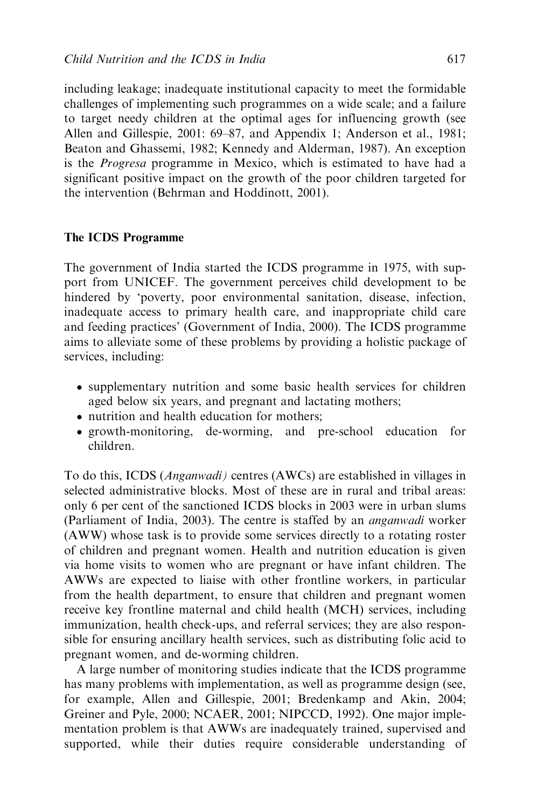including leakage; inadequate institutional capacity to meet the formidable challenges of implementing such programmes on a wide scale; and a failure to target needy children at the optimal ages for influencing growth (see Allen and Gillespie, 2001: 69–87, and Appendix 1; Anderson et al., 1981; Beaton and Ghassemi, 1982; Kennedy and Alderman, 1987). An exception is the Progresa programme in Mexico, which is estimated to have had a significant positive impact on the growth of the poor children targeted for the intervention (Behrman and Hoddinott, 2001).

### The ICDS Programme

The government of India started the ICDS programme in 1975, with support from UNICEF. The government perceives child development to be hindered by 'poverty, poor environmental sanitation, disease, infection, inadequate access to primary health care, and inappropriate child care and feeding practices' (Government of India, 2000). The ICDS programme aims to alleviate some of these problems by providing a holistic package of services, including:

- supplementary nutrition and some basic health services for children aged below six years, and pregnant and lactating mothers;
- nutrition and health education for mothers;
- growth-monitoring, de-worming, and pre-school education for children.

To do this, ICDS (Anganwadi) centres (AWCs) are established in villages in selected administrative blocks. Most of these are in rural and tribal areas: only 6 per cent of the sanctioned ICDS blocks in 2003 were in urban slums (Parliament of India, 2003). The centre is staffed by an anganwadi worker (AWW) whose task is to provide some services directly to a rotating roster of children and pregnant women. Health and nutrition education is given via home visits to women who are pregnant or have infant children. The AWWs are expected to liaise with other frontline workers, in particular from the health department, to ensure that children and pregnant women receive key frontline maternal and child health (MCH) services, including immunization, health check-ups, and referral services; they are also responsible for ensuring ancillary health services, such as distributing folic acid to pregnant women, and de-worming children.

A large number of monitoring studies indicate that the ICDS programme has many problems with implementation, as well as programme design (see, for example, Allen and Gillespie, 2001; Bredenkamp and Akin, 2004; Greiner and Pyle, 2000; NCAER, 2001; NIPCCD, 1992). One major implementation problem is that AWWs are inadequately trained, supervised and supported, while their duties require considerable understanding of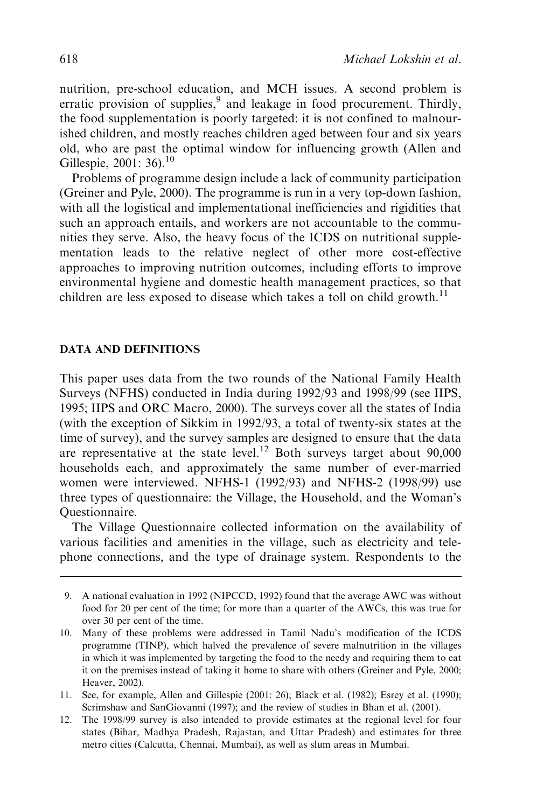nutrition, pre-school education, and MCH issues. A second problem is erratic provision of supplies, $9$  and leakage in food procurement. Thirdly, the food supplementation is poorly targeted: it is not confined to malnourished children, and mostly reaches children aged between four and six years old, who are past the optimal window for influencing growth (Allen and Gillespie, 2001: 36).<sup>10</sup>

Problems of programme design include a lack of community participation (Greiner and Pyle, 2000). The programme is run in a very top-down fashion, with all the logistical and implementational inefficiencies and rigidities that such an approach entails, and workers are not accountable to the communities they serve. Also, the heavy focus of the ICDS on nutritional supplementation leads to the relative neglect of other more cost-effective approaches to improving nutrition outcomes, including efforts to improve environmental hygiene and domestic health management practices, so that children are less exposed to disease which takes a toll on child growth.<sup>11</sup>

### DATA AND DEFINITIONS

This paper uses data from the two rounds of the National Family Health Surveys (NFHS) conducted in India during 1992/93 and 1998/99 (see IIPS, 1995; IIPS and ORC Macro, 2000). The surveys cover all the states of India (with the exception of Sikkim in 1992/93, a total of twenty-six states at the time of survey), and the survey samples are designed to ensure that the data are representative at the state level.<sup>12</sup> Both surveys target about  $90,000$ households each, and approximately the same number of ever-married women were interviewed. NFHS-1 (1992/93) and NFHS-2 (1998/99) use three types of questionnaire: the Village, the Household, and the Woman's Questionnaire.

The Village Questionnaire collected information on the availability of various facilities and amenities in the village, such as electricity and telephone connections, and the type of drainage system. Respondents to the

<sup>9.</sup> A national evaluation in 1992 (NIPCCD, 1992) found that the average AWC was without food for 20 per cent of the time; for more than a quarter of the AWCs, this was true for over 30 per cent of the time.

<sup>10.</sup> Many of these problems were addressed in Tamil Nadu's modification of the ICDS programme (TINP), which halved the prevalence of severe malnutrition in the villages in which it was implemented by targeting the food to the needy and requiring them to eat it on the premises instead of taking it home to share with others (Greiner and Pyle, 2000; Heaver, 2002).

<sup>11.</sup> See, for example, Allen and Gillespie (2001: 26); Black et al. (1982); Esrey et al. (1990); Scrimshaw and SanGiovanni (1997); and the review of studies in Bhan et al. (2001).

<sup>12.</sup> The 1998/99 survey is also intended to provide estimates at the regional level for four states (Bihar, Madhya Pradesh, Rajastan, and Uttar Pradesh) and estimates for three metro cities (Calcutta, Chennai, Mumbai), as well as slum areas in Mumbai.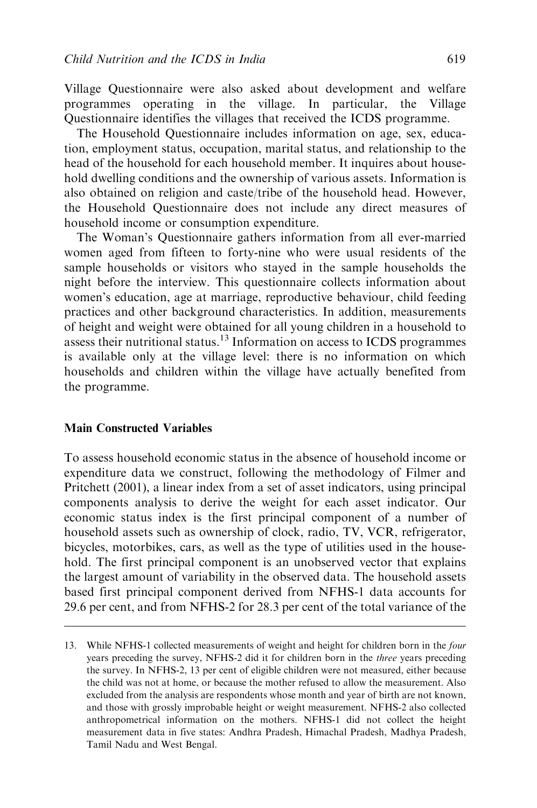Village Questionnaire were also asked about development and welfare programmes operating in the village. In particular, the Village Questionnaire identifies the villages that received the ICDS programme.

The Household Questionnaire includes information on age, sex, education, employment status, occupation, marital status, and relationship to the head of the household for each household member. It inquires about household dwelling conditions and the ownership of various assets. Information is also obtained on religion and caste/tribe of the household head. However, the Household Questionnaire does not include any direct measures of household income or consumption expenditure.

The Woman's Questionnaire gathers information from all ever-married women aged from fifteen to forty-nine who were usual residents of the sample households or visitors who stayed in the sample households the night before the interview. This questionnaire collects information about women's education, age at marriage, reproductive behaviour, child feeding practices and other background characteristics. In addition, measurements of height and weight were obtained for all young children in a household to assess their nutritional status.<sup>13</sup> Information on access to ICDS programmes is available only at the village level: there is no information on which households and children within the village have actually benefited from the programme.

### Main Constructed Variables

To assess household economic status in the absence of household income or expenditure data we construct, following the methodology of Filmer and Pritchett (2001), a linear index from a set of asset indicators, using principal components analysis to derive the weight for each asset indicator. Our economic status index is the first principal component of a number of household assets such as ownership of clock, radio, TV, VCR, refrigerator, bicycles, motorbikes, cars, as well as the type of utilities used in the household. The first principal component is an unobserved vector that explains the largest amount of variability in the observed data. The household assets based first principal component derived from NFHS-1 data accounts for 29.6 per cent, and from NFHS-2 for 28.3 per cent of the total variance of the

<sup>13.</sup> While NFHS-1 collected measurements of weight and height for children born in the four years preceding the survey, NFHS-2 did it for children born in the three years preceding the survey. In NFHS-2, 13 per cent of eligible children were not measured, either because the child was not at home, or because the mother refused to allow the measurement. Also excluded from the analysis are respondents whose month and year of birth are not known, and those with grossly improbable height or weight measurement. NFHS-2 also collected anthropometrical information on the mothers. NFHS-1 did not collect the height measurement data in five states: Andhra Pradesh, Himachal Pradesh, Madhya Pradesh, Tamil Nadu and West Bengal.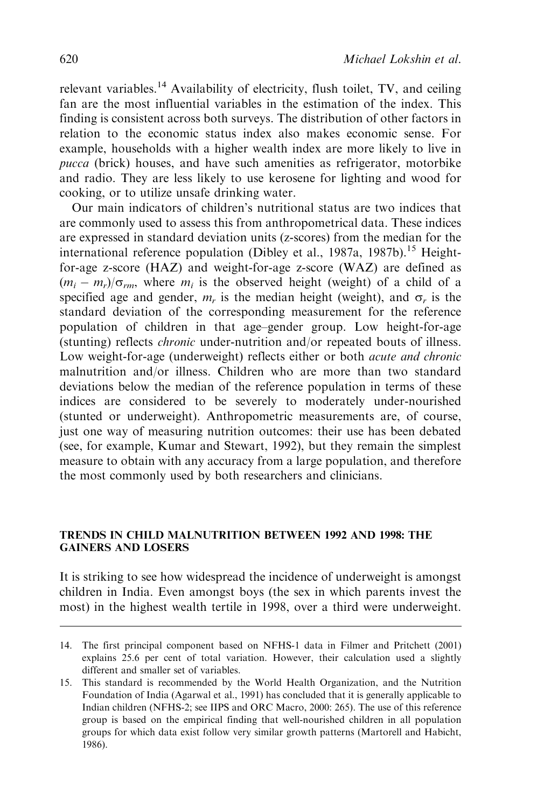relevant variables.<sup>14</sup> Availability of electricity, flush toilet, TV, and ceiling fan are the most influential variables in the estimation of the index. This finding is consistent across both surveys. The distribution of other factors in relation to the economic status index also makes economic sense. For example, households with a higher wealth index are more likely to live in pucca (brick) houses, and have such amenities as refrigerator, motorbike and radio. They are less likely to use kerosene for lighting and wood for cooking, or to utilize unsafe drinking water.

Our main indicators of children's nutritional status are two indices that are commonly used to assess this from anthropometrical data. These indices are expressed in standard deviation units (z-scores) from the median for the international reference population (Dibley et al., 1987a, 1987b).<sup>15</sup> Heightfor-age z-score (HAZ) and weight-for-age z-score (WAZ) are defined as  $(m_i - m_r)/\sigma_{rm}$ , where  $m_i$  is the observed height (weight) of a child of a specified age and gender,  $m_r$  is the median height (weight), and  $\sigma_r$  is the standard deviation of the corresponding measurement for the reference population of children in that age–gender group. Low height-for-age (stunting) reflects chronic under-nutrition and/or repeated bouts of illness. Low weight-for-age (underweight) reflects either or both *acute and chronic* malnutrition and/or illness. Children who are more than two standard deviations below the median of the reference population in terms of these indices are considered to be severely to moderately under-nourished (stunted or underweight). Anthropometric measurements are, of course, just one way of measuring nutrition outcomes: their use has been debated (see, for example, Kumar and Stewart, 1992), but they remain the simplest measure to obtain with any accuracy from a large population, and therefore the most commonly used by both researchers and clinicians.

#### TRENDS IN CHILD MALNUTRITION BETWEEN 1992 AND 1998: THE GAINERS AND LOSERS

It is striking to see how widespread the incidence of underweight is amongst children in India. Even amongst boys (the sex in which parents invest the most) in the highest wealth tertile in 1998, over a third were underweight.

<sup>14.</sup> The first principal component based on NFHS-1 data in Filmer and Pritchett (2001) explains 25.6 per cent of total variation. However, their calculation used a slightly different and smaller set of variables.

<sup>15.</sup> This standard is recommended by the World Health Organization, and the Nutrition Foundation of India (Agarwal et al., 1991) has concluded that it is generally applicable to Indian children (NFHS-2; see IIPS and ORC Macro, 2000: 265). The use of this reference group is based on the empirical finding that well-nourished children in all population groups for which data exist follow very similar growth patterns (Martorell and Habicht, 1986).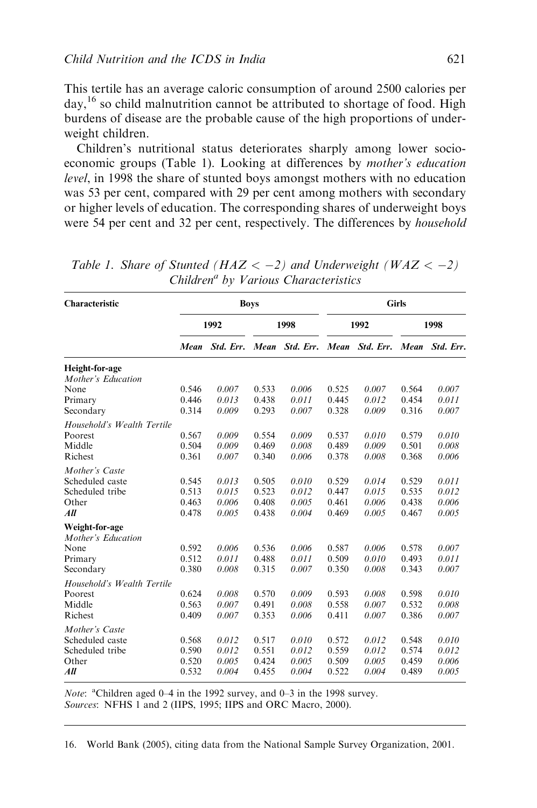This tertile has an average caloric consumption of around 2500 calories per  $day<sup>16</sup>$  so child malnutrition cannot be attributed to shortage of food. High burdens of disease are the probable cause of the high proportions of underweight children.

Children's nutritional status deteriorates sharply among lower socioeconomic groups (Table 1). Looking at differences by mother's education level, in 1998 the share of stunted boys amongst mothers with no education was 53 per cent, compared with 29 per cent among mothers with secondary or higher levels of education. The corresponding shares of underweight boys were 54 per cent and 32 per cent, respectively. The differences by *household* 

| Characteristic                       |       |           | <b>Boys</b> |           |       |           | <b>Girls</b> |           |  |
|--------------------------------------|-------|-----------|-------------|-----------|-------|-----------|--------------|-----------|--|
|                                      | 1992  |           | 1998        |           | 1992  |           | 1998         |           |  |
|                                      | Mean  | Std. Err. | Mean        | Std. Err. | Mean  | Std. Err. | Mean         | Std. Err. |  |
| Height-for-age<br>Mother's Education |       |           |             |           |       |           |              |           |  |
| None                                 | 0.546 | 0.007     | 0.533       | 0.006     | 0.525 | 0.007     | 0.564        | 0.007     |  |
| Primary                              | 0.446 | 0.013     | 0.438       | 0.011     | 0.445 | 0.012     | 0.454        | 0.011     |  |
| Secondary                            | 0.314 | 0.009     | 0.293       | 0.007     | 0.328 | 0.009     | 0.316        | 0.007     |  |
| Household's Wealth Tertile           |       |           |             |           |       |           |              |           |  |
| Poorest                              | 0.567 | 0.009     | 0.554       | 0.009     | 0.537 | 0.010     | 0.579        | 0.010     |  |
| Middle                               | 0.504 | 0.009     | 0.469       | 0.008     | 0.489 | 0.009     | 0.501        | 0.008     |  |
| Richest                              | 0.361 | 0.007     | 0.340       | 0.006     | 0.378 | 0.008     | 0.368        | 0.006     |  |
| Mother's Caste                       |       |           |             |           |       |           |              |           |  |
| Scheduled caste                      | 0.545 | 0.013     | 0.505       | 0.010     | 0.529 | 0.014     | 0.529        | 0.011     |  |
| Scheduled tribe                      | 0.513 | 0.015     | 0.523       | 0.012     | 0.447 | 0.015     | 0.535        | 0.012     |  |
| Other                                | 0.463 | 0.006     | 0.408       | 0.005     | 0.461 | 0.006     | 0.438        | 0.006     |  |
| All                                  | 0.478 | 0.005     | 0.438       | 0.004     | 0.469 | 0.005     | 0.467        | 0.005     |  |
| Weight-for-age<br>Mother's Education |       |           |             |           |       |           |              |           |  |
| None                                 | 0.592 | 0.006     | 0.536       | 0.006     | 0.587 | 0.006     | 0.578        | 0.007     |  |
| Primary                              | 0.512 | 0.011     | 0.488       | 0.011     | 0.509 | 0.010     | 0.493        | 0.011     |  |
| Secondary                            | 0.380 | 0.008     | 0.315       | 0.007     | 0.350 | 0.008     | 0.343        | 0.007     |  |
| Household's Wealth Tertile           |       |           |             |           |       |           |              |           |  |
| Poorest                              | 0.624 | 0.008     | 0.570       | 0.009     | 0.593 | 0.008     | 0.598        | 0.010     |  |
| Middle                               | 0.563 | 0.007     | 0.491       | 0.008     | 0.558 | 0.007     | 0.532        | 0.008     |  |
| Richest                              | 0.409 | 0.007     | 0.353       | 0.006     | 0.411 | 0.007     | 0.386        | 0.007     |  |
| Mother's Caste                       |       |           |             |           |       |           |              |           |  |
| Scheduled caste                      | 0.568 | 0.012     | 0.517       | 0.010     | 0.572 | 0.012     | 0.548        | 0.010     |  |
| Scheduled tribe                      | 0.590 | 0.012     | 0.551       | 0.012     | 0.559 | 0.012     | 0.574        | 0.012     |  |
| Other                                | 0.520 | 0.005     | 0.424       | 0.005     | 0.509 | 0.005     | 0.459        | 0.006     |  |
| All                                  | 0.532 | 0.004     | 0.455       | 0.004     | 0.522 | 0.004     | 0.489        | 0.005     |  |

Table 1. Share of Stunted ( $HAZ < -2$ ) and Underweight ( $WAZ < -2$ )  $Children<sup>a</sup>$  by Various Characteristics

Note: <sup>a</sup>Children aged 0-4 in the 1992 survey, and 0-3 in the 1998 survey. Sources: NFHS 1 and 2 (IIPS, 1995; IIPS and ORC Macro, 2000).

16. World Bank (2005), citing data from the National Sample Survey Organization, 2001.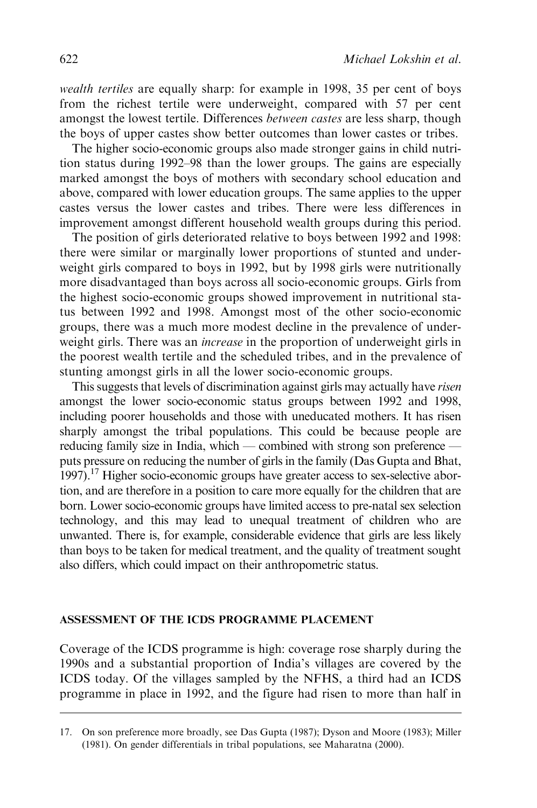wealth tertiles are equally sharp: for example in 1998, 35 per cent of boys from the richest tertile were underweight, compared with 57 per cent amongst the lowest tertile. Differences between castes are less sharp, though the boys of upper castes show better outcomes than lower castes or tribes.

The higher socio-economic groups also made stronger gains in child nutrition status during 1992–98 than the lower groups. The gains are especially marked amongst the boys of mothers with secondary school education and above, compared with lower education groups. The same applies to the upper castes versus the lower castes and tribes. There were less differences in improvement amongst different household wealth groups during this period.

The position of girls deteriorated relative to boys between 1992 and 1998: there were similar or marginally lower proportions of stunted and underweight girls compared to boys in 1992, but by 1998 girls were nutritionally more disadvantaged than boys across all socio-economic groups. Girls from the highest socio-economic groups showed improvement in nutritional status between 1992 and 1998. Amongst most of the other socio-economic groups, there was a much more modest decline in the prevalence of underweight girls. There was an increase in the proportion of underweight girls in the poorest wealth tertile and the scheduled tribes, and in the prevalence of stunting amongst girls in all the lower socio-economic groups.

This suggests that levels of discrimination against girls may actually have risen amongst the lower socio-economic status groups between 1992 and 1998, including poorer households and those with uneducated mothers. It has risen sharply amongst the tribal populations. This could be because people are reducing family size in India, which — combined with strong son preference puts pressure on reducing the number of girls in the family (Das Gupta and Bhat, 1997).17 Higher socio-economic groups have greater access to sex-selective abortion, and are therefore in a position to care more equally for the children that are born. Lower socio-economic groups have limited access to pre-natal sex selection technology, and this may lead to unequal treatment of children who are unwanted. There is, for example, considerable evidence that girls are less likely than boys to be taken for medical treatment, and the quality of treatment sought also differs, which could impact on their anthropometric status.

# ASSESSMENT OF THE ICDS PROGRAMME PLACEMENT

Coverage of the ICDS programme is high: coverage rose sharply during the 1990s and a substantial proportion of India's villages are covered by the ICDS today. Of the villages sampled by the NFHS, a third had an ICDS programme in place in 1992, and the figure had risen to more than half in

<sup>17.</sup> On son preference more broadly, see Das Gupta (1987); Dyson and Moore (1983); Miller (1981). On gender differentials in tribal populations, see Maharatna (2000).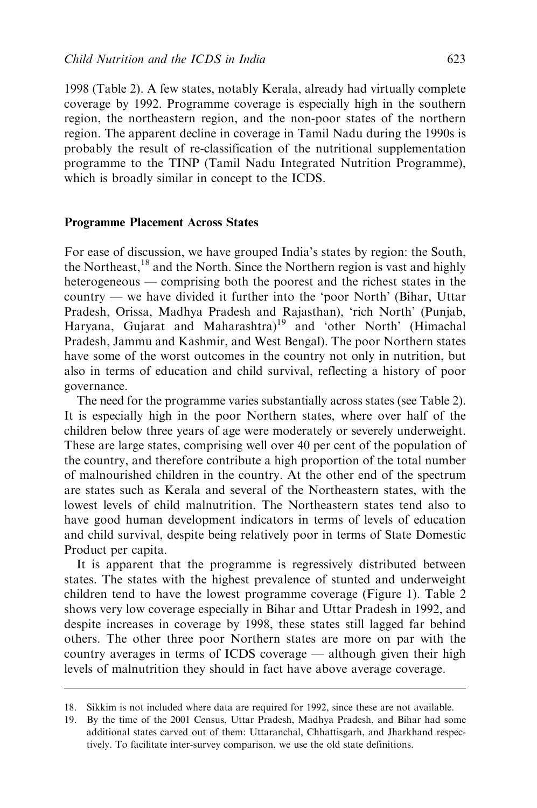1998 (Table 2). A few states, notably Kerala, already had virtually complete coverage by 1992. Programme coverage is especially high in the southern region, the northeastern region, and the non-poor states of the northern region. The apparent decline in coverage in Tamil Nadu during the 1990s is probably the result of re-classification of the nutritional supplementation programme to the TINP (Tamil Nadu Integrated Nutrition Programme), which is broadly similar in concept to the ICDS.

#### Programme Placement Across States

For ease of discussion, we have grouped India's states by region: the South, the Northeast,  $18$  and the North. Since the Northern region is vast and highly heterogeneous — comprising both the poorest and the richest states in the country — we have divided it further into the 'poor North' (Bihar, Uttar Pradesh, Orissa, Madhya Pradesh and Rajasthan), 'rich North' (Punjab, Haryana, Gujarat and Maharashtra)<sup>19</sup> and 'other North' (Himachal Pradesh, Jammu and Kashmir, and West Bengal). The poor Northern states have some of the worst outcomes in the country not only in nutrition, but also in terms of education and child survival, reflecting a history of poor governance.

The need for the programme varies substantially across states (see Table 2). It is especially high in the poor Northern states, where over half of the children below three years of age were moderately or severely underweight. These are large states, comprising well over 40 per cent of the population of the country, and therefore contribute a high proportion of the total number of malnourished children in the country. At the other end of the spectrum are states such as Kerala and several of the Northeastern states, with the lowest levels of child malnutrition. The Northeastern states tend also to have good human development indicators in terms of levels of education and child survival, despite being relatively poor in terms of State Domestic Product per capita.

It is apparent that the programme is regressively distributed between states. The states with the highest prevalence of stunted and underweight children tend to have the lowest programme coverage (Figure 1). Table 2 shows very low coverage especially in Bihar and Uttar Pradesh in 1992, and despite increases in coverage by 1998, these states still lagged far behind others. The other three poor Northern states are more on par with the country averages in terms of ICDS coverage — although given their high levels of malnutrition they should in fact have above average coverage.

<sup>18.</sup> Sikkim is not included where data are required for 1992, since these are not available.

<sup>19.</sup> By the time of the 2001 Census, Uttar Pradesh, Madhya Pradesh, and Bihar had some additional states carved out of them: Uttaranchal, Chhattisgarh, and Jharkhand respectively. To facilitate inter-survey comparison, we use the old state definitions.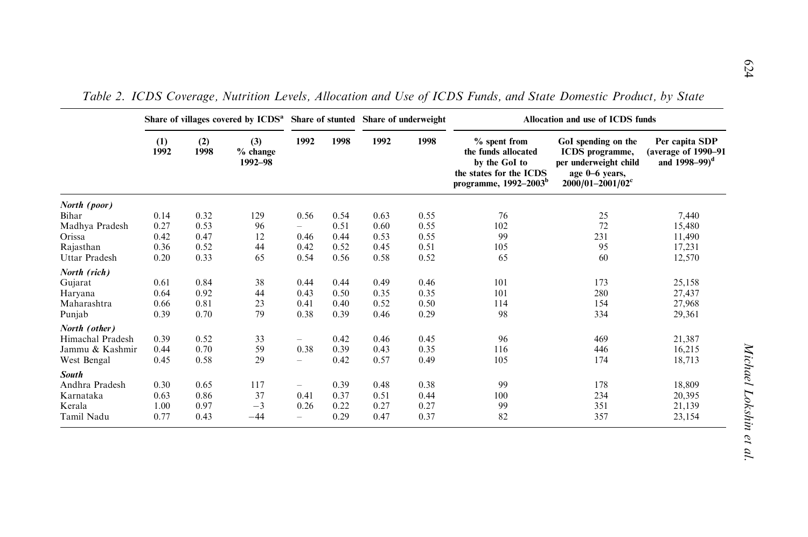|                  | Share of villages covered by ICDS <sup>a</sup> Share of stunted Share of underweight |             |                            |                          |      |      |      | Allocation and use of ICDS funds                                                                                       |                                                                                                                              |                                                                       |
|------------------|--------------------------------------------------------------------------------------|-------------|----------------------------|--------------------------|------|------|------|------------------------------------------------------------------------------------------------------------------------|------------------------------------------------------------------------------------------------------------------------------|-----------------------------------------------------------------------|
|                  | (1)<br>1992                                                                          | (2)<br>1998 | (3)<br>% change<br>1992-98 | 1992                     | 1998 | 1992 | 1998 | $%$ spent from<br>the funds allocated<br>by the GoI to<br>the states for the ICDS<br>programme, 1992-2003 <sup>b</sup> | GoI spending on the<br><b>ICDS</b> programme,<br>per underweight child<br>age 0-6 years,<br>$2000/01 - 2001/02$ <sup>c</sup> | Per capita SDP<br>(average of 1990-91<br>and $1998 - 99$ <sup>d</sup> |
| North (poor)     |                                                                                      |             |                            |                          |      |      |      |                                                                                                                        |                                                                                                                              |                                                                       |
| Bihar            | 0.14                                                                                 | 0.32        | 129                        | 0.56                     | 0.54 | 0.63 | 0.55 | 76                                                                                                                     | 25                                                                                                                           | 7,440                                                                 |
| Madhya Pradesh   | 0.27                                                                                 | 0.53        | 96                         |                          | 0.51 | 0.60 | 0.55 | 102                                                                                                                    | 72                                                                                                                           | 15.480                                                                |
| Orissa           | 0.42                                                                                 | 0.47        | 12                         | 0.46                     | 0.44 | 0.53 | 0.55 | 99                                                                                                                     | 231                                                                                                                          | 11,490                                                                |
| Rajasthan        | 0.36                                                                                 | 0.52        | 44                         | 0.42                     | 0.52 | 0.45 | 0.51 | 105                                                                                                                    | 95                                                                                                                           | 17,231                                                                |
| Uttar Pradesh    | 0.20                                                                                 | 0.33        | 65                         | 0.54                     | 0.56 | 0.58 | 0.52 | 65                                                                                                                     | 60                                                                                                                           | 12,570                                                                |
| North (rich)     |                                                                                      |             |                            |                          |      |      |      |                                                                                                                        |                                                                                                                              |                                                                       |
| Gujarat          | 0.61                                                                                 | 0.84        | 38                         | 0.44                     | 0.44 | 0.49 | 0.46 | 101                                                                                                                    | 173                                                                                                                          | 25,158                                                                |
| Haryana          | 0.64                                                                                 | 0.92        | 44                         | 0.43                     | 0.50 | 0.35 | 0.35 | 101                                                                                                                    | 280                                                                                                                          | 27,437                                                                |
| Maharashtra      | 0.66                                                                                 | 0.81        | 23                         | 0.41                     | 0.40 | 0.52 | 0.50 | 114                                                                                                                    | 154                                                                                                                          | 27,968                                                                |
| Punjab           | 0.39                                                                                 | 0.70        | 79                         | 0.38                     | 0.39 | 0.46 | 0.29 | 98                                                                                                                     | 334                                                                                                                          | 29,361                                                                |
| North (other)    |                                                                                      |             |                            |                          |      |      |      |                                                                                                                        |                                                                                                                              |                                                                       |
| Himachal Pradesh | 0.39                                                                                 | 0.52        | 33                         |                          | 0.42 | 0.46 | 0.45 | 96                                                                                                                     | 469                                                                                                                          | 21,387                                                                |
| Jammu & Kashmir  | 0.44                                                                                 | 0.70        | 59                         | 0.38                     | 0.39 | 0.43 | 0.35 | 116                                                                                                                    | 446                                                                                                                          | 16,215                                                                |
| West Bengal      | 0.45                                                                                 | 0.58        | 29                         | $\overline{\phantom{0}}$ | 0.42 | 0.57 | 0.49 | 105                                                                                                                    | 174                                                                                                                          | 18,713                                                                |
| <b>South</b>     |                                                                                      |             |                            |                          |      |      |      |                                                                                                                        |                                                                                                                              |                                                                       |
| Andhra Pradesh   | 0.30                                                                                 | 0.65        | 117                        | $\overline{\phantom{m}}$ | 0.39 | 0.48 | 0.38 | 99                                                                                                                     | 178                                                                                                                          | 18,809                                                                |
| Karnataka        | 0.63                                                                                 | 0.86        | 37                         | 0.41                     | 0.37 | 0.51 | 0.44 | 100                                                                                                                    | 234                                                                                                                          | 20,395                                                                |
| Kerala           | 1.00                                                                                 | 0.97        | $-3$                       | 0.26                     | 0.22 | 0.27 | 0.27 | 99                                                                                                                     | 351                                                                                                                          | 21,139                                                                |
| Tamil Nadu       | 0.77                                                                                 | 0.43        | $-44$                      | -                        | 0.29 | 0.47 | 0.37 | 82                                                                                                                     | 357                                                                                                                          | 23,154                                                                |

Table 2. ICDS Coverage, Nutrition Levels, Allocation and Use of ICDS Funds, and State Domestic Product, by State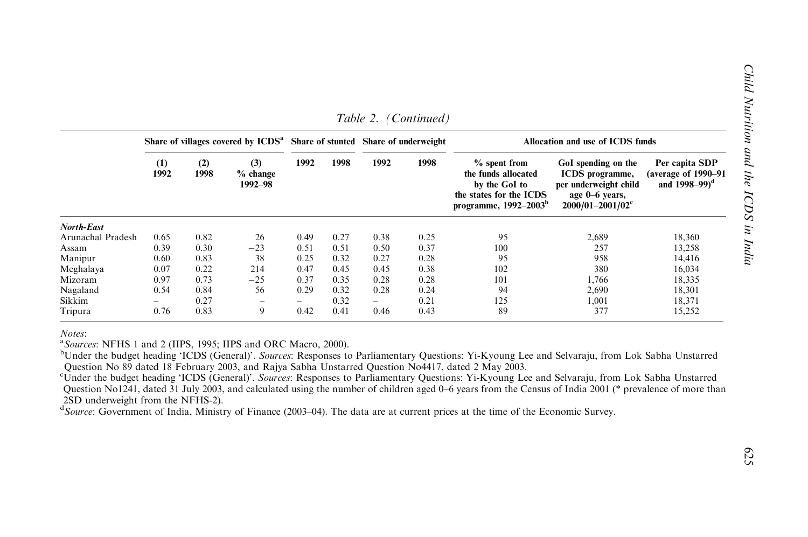|                   |             |             | Share of villages covered by ICDS <sup>a</sup> Share of stunted Share of underweight |        |      |                          |      | Allocation and use of ICDS funds                                                                              |                                                                                                            |                                                                       |  |  |
|-------------------|-------------|-------------|--------------------------------------------------------------------------------------|--------|------|--------------------------|------|---------------------------------------------------------------------------------------------------------------|------------------------------------------------------------------------------------------------------------|-----------------------------------------------------------------------|--|--|
|                   | (1)<br>1992 | (2)<br>1998 | (3)<br>$%$ change<br>1992-98                                                         | 1992   | 1998 | 1992                     | 1998 | $%$ spent from<br>the funds allocated<br>by the GoI to<br>the states for the ICDS<br>programme, $1992-2003^b$ | GoI spending on the<br>ICDS programme,<br>per underweight child<br>age 0-6 years,<br>$2000/01 - 2001/02^c$ | Per capita SDP<br>(average of 1990–91<br>and $1998 - 99$ <sup>d</sup> |  |  |
| <b>North-East</b> |             |             |                                                                                      |        |      |                          |      |                                                                                                               |                                                                                                            |                                                                       |  |  |
| Arunachal Pradesh | 0.65        | 0.82        | 26                                                                                   | 0.49   | 0.27 | 0.38                     | 0.25 | 95                                                                                                            | 2,689                                                                                                      | 18,360                                                                |  |  |
| Assam             | 0.39        | 0.30        | $-23$                                                                                | 0.51   | 0.51 | 0.50                     | 0.37 | 100                                                                                                           | 257                                                                                                        | 13,258                                                                |  |  |
| Manipur           | 0.60        | 0.83        | 38                                                                                   | 0.25   | 0.32 | 0.27                     | 0.28 | 95                                                                                                            | 958                                                                                                        | 14,416                                                                |  |  |
| Meghalaya         | 0.07        | 0.22        | 214                                                                                  | 0.47   | 0.45 | 0.45                     | 0.38 | 102                                                                                                           | 380                                                                                                        | 16,034                                                                |  |  |
| Mizoram           | 0.97        | 0.73        | $-25$                                                                                | 0.37   | 0.35 | 0.28                     | 0.28 | 101                                                                                                           | 1,766                                                                                                      | 18,335                                                                |  |  |
| Nagaland          | 0.54        | 0.84        | 56                                                                                   | 0.29   | 0.32 | 0.28                     | 0.24 | 94                                                                                                            | 2,690                                                                                                      | 18,301                                                                |  |  |
| Sikkim            | -           | 0.27        | $\hspace{1.0cm} \rule{1.5cm}{0.15cm} \hspace{1.0cm} \rule{1.5cm}{0.15cm}$            | $\sim$ | 0.32 | $\overline{\phantom{m}}$ | 0.21 | 125                                                                                                           | 1,001                                                                                                      | 18,371                                                                |  |  |
| Tripura           | 0.76        | 0.83        | 9                                                                                    | 0.42   | 0.41 | 0.46                     | 0.43 | 89                                                                                                            | 377                                                                                                        | 15,252                                                                |  |  |

Table 2. (Continued)

Notes:

<sup>a</sup>Sources: NFHS 1 and 2 (IIPS, 1995; IIPS and ORC Macro, 2000).

<sup>b</sup>Under the budget heading 'ICDS (General)'. Sources: Responses to Parliamentary Questions: Yi-Kyoung Lee and Selvaraju, from Lok Sabha Unstarred Question No 89 dated 18 February 2003, and Rajya Sabha Unstarred Question No4417, dated 2 May 2003.

<sup>c</sup>Under the budget heading 'ICDS (General)'. Sources: Responses to Parliamentary Questions: Yi-Kyoung Lee and Selvaraju, from Lok Sabha Unstarred Question No1241, dated 31 July 2003, and calculated using the number of children aged 0–6 years from the Census of India 2001 (\* prevalence of more than 2SD underweight from the NFHS-2).<br> $d_{Source}$ : Government of India, Ministry of Finance (2003–04). The data are at current prices at the time of the Economic Survey.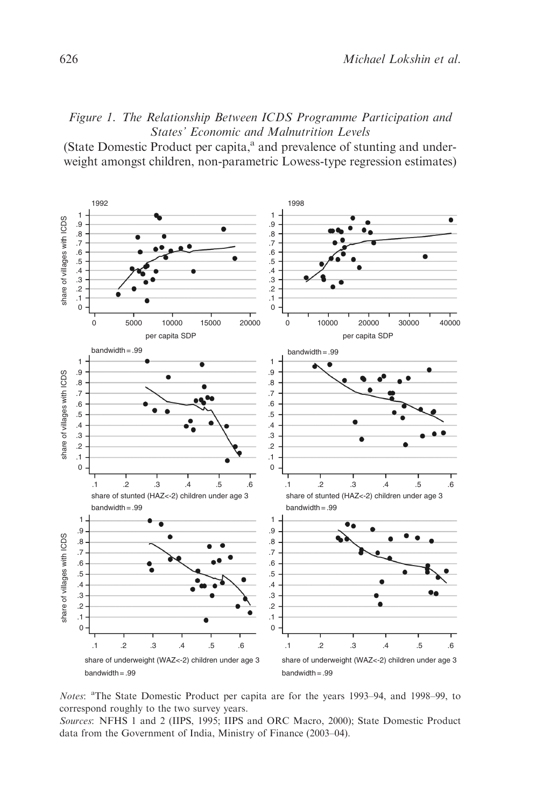# Figure 1. The Relationship Between ICDS Programme Participation and States' Economic and Malnutrition Levels

(State Domestic Product per capita, $^{\rm a}$  and prevalence of stunting and underweight amongst children, non-parametric Lowess-type regression estimates)



Notes: <sup>a</sup>The State Domestic Product per capita are for the years 1993-94, and 1998-99, to correspond roughly to the two survey years.

Sources: NFHS 1 and 2 (IIPS, 1995; IIPS and ORC Macro, 2000); State Domestic Product data from the Government of India, Ministry of Finance (2003–04).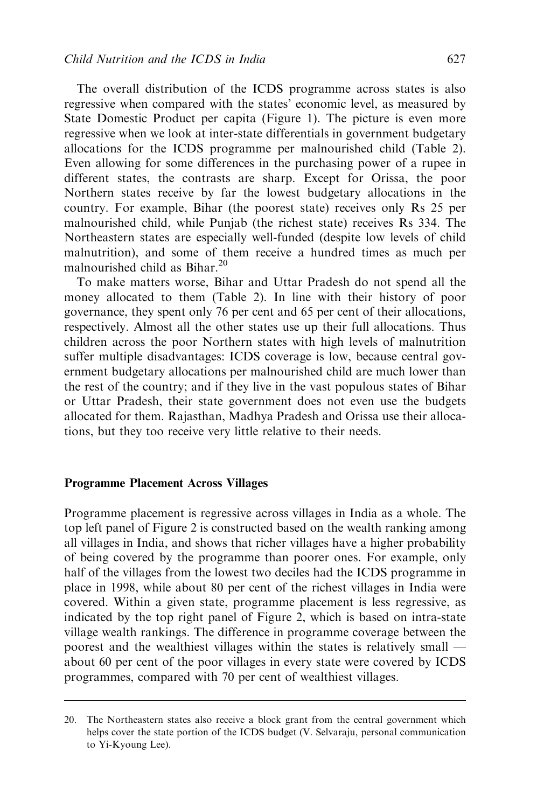The overall distribution of the ICDS programme across states is also regressive when compared with the states' economic level, as measured by State Domestic Product per capita (Figure 1). The picture is even more regressive when we look at inter-state differentials in government budgetary allocations for the ICDS programme per malnourished child (Table 2). Even allowing for some differences in the purchasing power of a rupee in different states, the contrasts are sharp. Except for Orissa, the poor Northern states receive by far the lowest budgetary allocations in the country. For example, Bihar (the poorest state) receives only Rs 25 per malnourished child, while Punjab (the richest state) receives Rs 334. The Northeastern states are especially well-funded (despite low levels of child malnutrition), and some of them receive a hundred times as much per malnourished child as Bihar.<sup>20</sup>

To make matters worse, Bihar and Uttar Pradesh do not spend all the money allocated to them (Table 2). In line with their history of poor governance, they spent only 76 per cent and 65 per cent of their allocations, respectively. Almost all the other states use up their full allocations. Thus children across the poor Northern states with high levels of malnutrition suffer multiple disadvantages: ICDS coverage is low, because central government budgetary allocations per malnourished child are much lower than the rest of the country; and if they live in the vast populous states of Bihar or Uttar Pradesh, their state government does not even use the budgets allocated for them. Rajasthan, Madhya Pradesh and Orissa use their allocations, but they too receive very little relative to their needs.

#### Programme Placement Across Villages

Programme placement is regressive across villages in India as a whole. The top left panel of Figure 2 is constructed based on the wealth ranking among all villages in India, and shows that richer villages have a higher probability of being covered by the programme than poorer ones. For example, only half of the villages from the lowest two deciles had the ICDS programme in place in 1998, while about 80 per cent of the richest villages in India were covered. Within a given state, programme placement is less regressive, as indicated by the top right panel of Figure 2, which is based on intra-state village wealth rankings. The difference in programme coverage between the poorest and the wealthiest villages within the states is relatively small about 60 per cent of the poor villages in every state were covered by ICDS programmes, compared with 70 per cent of wealthiest villages.

<sup>20.</sup> The Northeastern states also receive a block grant from the central government which helps cover the state portion of the ICDS budget (V. Selvaraju, personal communication to Yi-Kyoung Lee).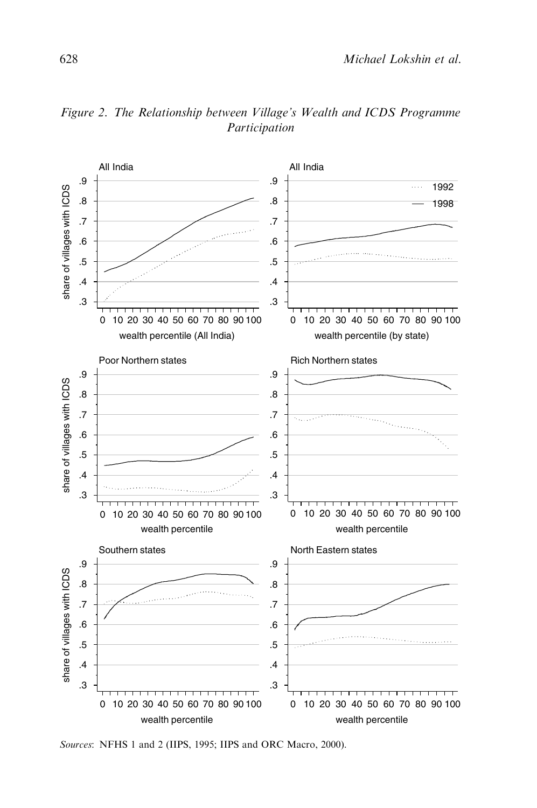

Figure 2. The Relationship between Village's Wealth and ICDS Programme Participation

Sources: NFHS 1 and 2 (IIPS, 1995; IIPS and ORC Macro, 2000).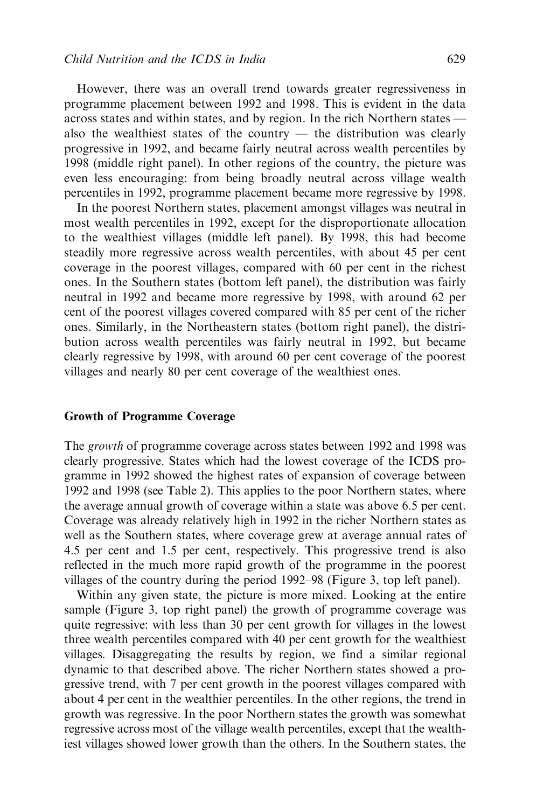However, there was an overall trend towards greater regressiveness in programme placement between 1992 and 1998. This is evident in the data across states and within states, and by region. In the rich Northern states also the wealthiest states of the country  $-$  the distribution was clearly progressive in 1992, and became fairly neutral across wealth percentiles by 1998 (middle right panel). In other regions of the country, the picture was even less encouraging: from being broadly neutral across village wealth percentiles in 1992, programme placement became more regressive by 1998.

In the poorest Northern states, placement amongst villages was neutral in most wealth percentiles in 1992, except for the disproportionate allocation to the wealthiest villages (middle left panel). By 1998, this had become steadily more regressive across wealth percentiles, with about 45 per cent coverage in the poorest villages, compared with 60 per cent in the richest ones. In the Southern states (bottom left panel), the distribution was fairly neutral in 1992 and became more regressive by 1998, with around 62 per cent of the poorest villages covered compared with 85 per cent of the richer ones. Similarly, in the Northeastern states (bottom right panel), the distribution across wealth percentiles was fairly neutral in 1992, but became clearly regressive by 1998, with around 60 per cent coverage of the poorest villages and nearly 80 per cent coverage of the wealthiest ones.

# Growth of Programme Coverage

The *growth* of programme coverage across states between 1992 and 1998 was clearly progressive. States which had the lowest coverage of the ICDS programme in 1992 showed the highest rates of expansion of coverage between 1992 and 1998 (see Table 2). This applies to the poor Northern states, where the average annual growth of coverage within a state was above 6.5 per cent. Coverage was already relatively high in 1992 in the richer Northern states as well as the Southern states, where coverage grew at average annual rates of 4.5 per cent and 1.5 per cent, respectively. This progressive trend is also reflected in the much more rapid growth of the programme in the poorest villages of the country during the period 1992–98 (Figure 3, top left panel).

Within any given state, the picture is more mixed. Looking at the entire sample (Figure 3, top right panel) the growth of programme coverage was quite regressive: with less than 30 per cent growth for villages in the lowest three wealth percentiles compared with 40 per cent growth for the wealthiest villages. Disaggregating the results by region, we find a similar regional dynamic to that described above. The richer Northern states showed a progressive trend, with 7 per cent growth in the poorest villages compared with about 4 per cent in the wealthier percentiles. In the other regions, the trend in growth was regressive. In the poor Northern states the growth was somewhat regressive across most of the village wealth percentiles, except that the wealthiest villages showed lower growth than the others. In the Southern states, the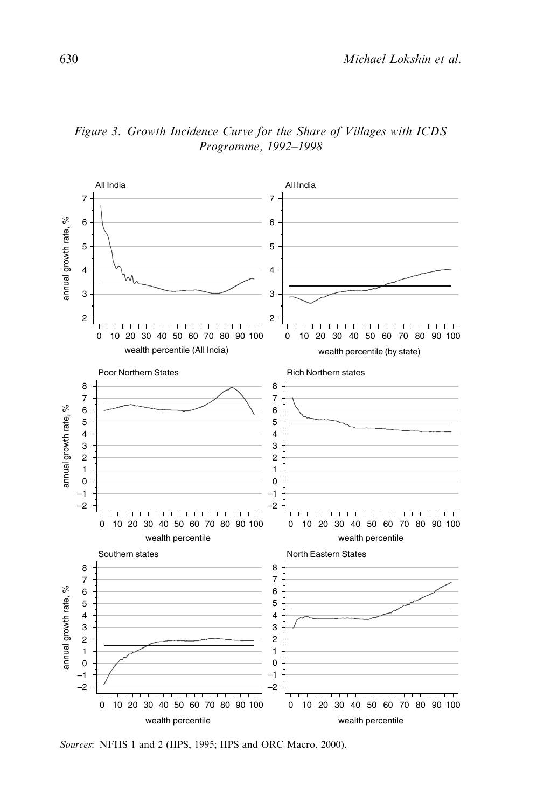

Figure 3. Growth Incidence Curve for the Share of Villages with ICDS Programme, 1992–1998

Sources: NFHS 1 and 2 (IIPS, 1995; IIPS and ORC Macro, 2000).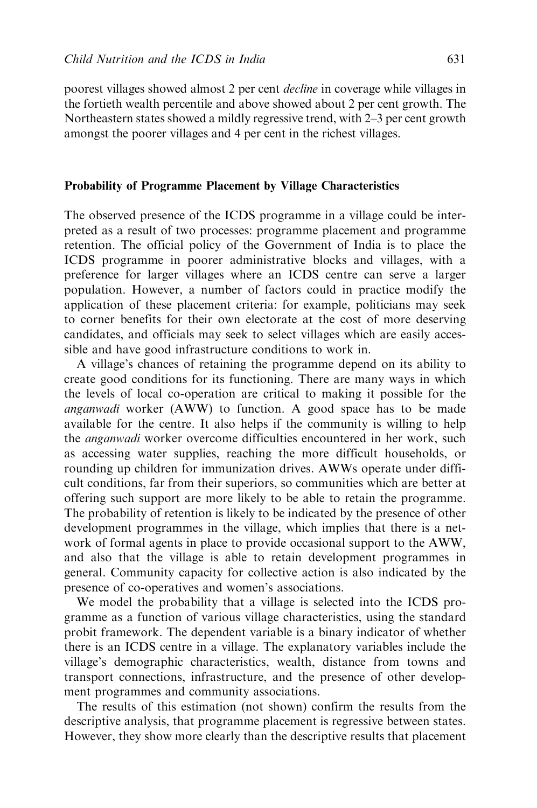poorest villages showed almost 2 per cent decline in coverage while villages in the fortieth wealth percentile and above showed about 2 per cent growth. The Northeastern states showed a mildly regressive trend, with 2–3 per cent growth amongst the poorer villages and 4 per cent in the richest villages.

#### Probability of Programme Placement by Village Characteristics

The observed presence of the ICDS programme in a village could be interpreted as a result of two processes: programme placement and programme retention. The official policy of the Government of India is to place the ICDS programme in poorer administrative blocks and villages, with a preference for larger villages where an ICDS centre can serve a larger population. However, a number of factors could in practice modify the application of these placement criteria: for example, politicians may seek to corner benefits for their own electorate at the cost of more deserving candidates, and officials may seek to select villages which are easily accessible and have good infrastructure conditions to work in.

A village's chances of retaining the programme depend on its ability to create good conditions for its functioning. There are many ways in which the levels of local co-operation are critical to making it possible for the anganwadi worker (AWW) to function. A good space has to be made available for the centre. It also helps if the community is willing to help the anganwadi worker overcome difficulties encountered in her work, such as accessing water supplies, reaching the more difficult households, or rounding up children for immunization drives. AWWs operate under difficult conditions, far from their superiors, so communities which are better at offering such support are more likely to be able to retain the programme. The probability of retention is likely to be indicated by the presence of other development programmes in the village, which implies that there is a network of formal agents in place to provide occasional support to the AWW, and also that the village is able to retain development programmes in general. Community capacity for collective action is also indicated by the presence of co-operatives and women's associations.

We model the probability that a village is selected into the ICDS programme as a function of various village characteristics, using the standard probit framework. The dependent variable is a binary indicator of whether there is an ICDS centre in a village. The explanatory variables include the village's demographic characteristics, wealth, distance from towns and transport connections, infrastructure, and the presence of other development programmes and community associations.

The results of this estimation (not shown) confirm the results from the descriptive analysis, that programme placement is regressive between states. However, they show more clearly than the descriptive results that placement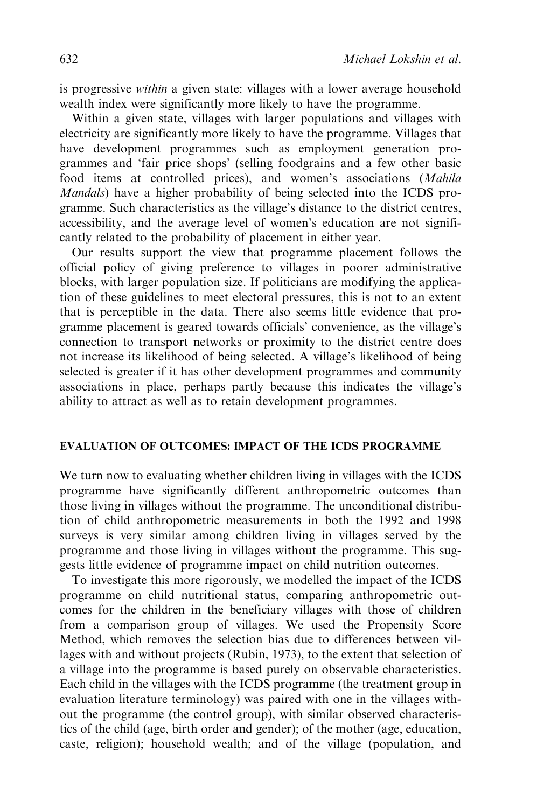is progressive within a given state: villages with a lower average household wealth index were significantly more likely to have the programme.

Within a given state, villages with larger populations and villages with electricity are significantly more likely to have the programme. Villages that have development programmes such as employment generation programmes and 'fair price shops' (selling foodgrains and a few other basic food items at controlled prices), and women's associations (Mahila Mandals) have a higher probability of being selected into the ICDS programme. Such characteristics as the village's distance to the district centres, accessibility, and the average level of women's education are not significantly related to the probability of placement in either year.

Our results support the view that programme placement follows the official policy of giving preference to villages in poorer administrative blocks, with larger population size. If politicians are modifying the application of these guidelines to meet electoral pressures, this is not to an extent that is perceptible in the data. There also seems little evidence that programme placement is geared towards officials' convenience, as the village's connection to transport networks or proximity to the district centre does not increase its likelihood of being selected. A village's likelihood of being selected is greater if it has other development programmes and community associations in place, perhaps partly because this indicates the village's ability to attract as well as to retain development programmes.

## EVALUATION OF OUTCOMES: IMPACT OF THE ICDS PROGRAMME

We turn now to evaluating whether children living in villages with the ICDS programme have significantly different anthropometric outcomes than those living in villages without the programme. The unconditional distribution of child anthropometric measurements in both the 1992 and 1998 surveys is very similar among children living in villages served by the programme and those living in villages without the programme. This suggests little evidence of programme impact on child nutrition outcomes.

To investigate this more rigorously, we modelled the impact of the ICDS programme on child nutritional status, comparing anthropometric outcomes for the children in the beneficiary villages with those of children from a comparison group of villages. We used the Propensity Score Method, which removes the selection bias due to differences between villages with and without projects (Rubin, 1973), to the extent that selection of a village into the programme is based purely on observable characteristics. Each child in the villages with the ICDS programme (the treatment group in evaluation literature terminology) was paired with one in the villages without the programme (the control group), with similar observed characteristics of the child (age, birth order and gender); of the mother (age, education, caste, religion); household wealth; and of the village (population, and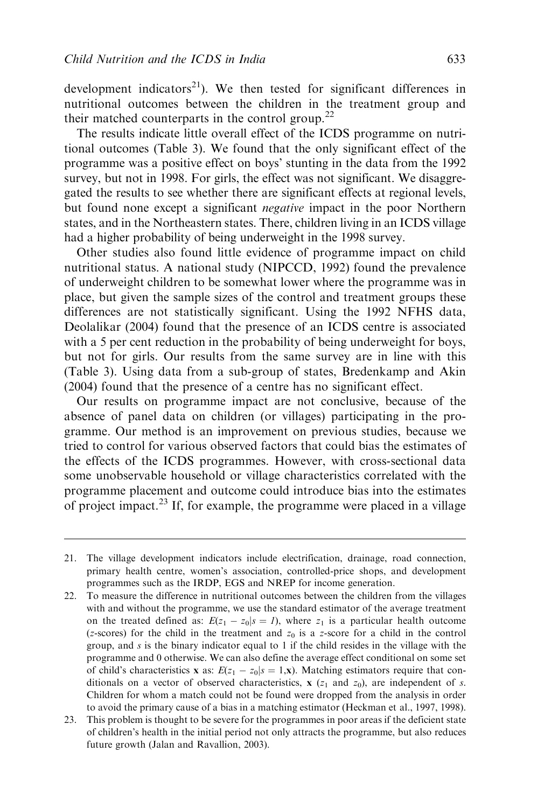development indicators<sup>21</sup>). We then tested for significant differences in nutritional outcomes between the children in the treatment group and their matched counterparts in the control group.<sup>22</sup>

The results indicate little overall effect of the ICDS programme on nutritional outcomes (Table 3). We found that the only significant effect of the programme was a positive effect on boys' stunting in the data from the 1992 survey, but not in 1998. For girls, the effect was not significant. We disaggregated the results to see whether there are significant effects at regional levels, but found none except a significant *negative* impact in the poor Northern states, and in the Northeastern states. There, children living in an ICDS village had a higher probability of being underweight in the 1998 survey.

Other studies also found little evidence of programme impact on child nutritional status. A national study (NIPCCD, 1992) found the prevalence of underweight children to be somewhat lower where the programme was in place, but given the sample sizes of the control and treatment groups these differences are not statistically significant. Using the 1992 NFHS data, Deolalikar (2004) found that the presence of an ICDS centre is associated with a 5 per cent reduction in the probability of being underweight for boys, but not for girls. Our results from the same survey are in line with this (Table 3). Using data from a sub-group of states, Bredenkamp and Akin (2004) found that the presence of a centre has no significant effect.

Our results on programme impact are not conclusive, because of the absence of panel data on children (or villages) participating in the programme. Our method is an improvement on previous studies, because we tried to control for various observed factors that could bias the estimates of the effects of the ICDS programmes. However, with cross-sectional data some unobservable household or village characteristics correlated with the programme placement and outcome could introduce bias into the estimates of project impact.<sup>23</sup> If, for example, the programme were placed in a village

<sup>21.</sup> The village development indicators include electrification, drainage, road connection, primary health centre, women's association, controlled-price shops, and development programmes such as the IRDP, EGS and NREP for income generation.

<sup>22.</sup> To measure the difference in nutritional outcomes between the children from the villages with and without the programme, we use the standard estimator of the average treatment on the treated defined as:  $E(z_1 - z_0 | s = 1)$ , where  $z_1$  is a particular health outcome (z-scores) for the child in the treatment and  $z_0$  is a z-score for a child in the control group, and  $s$  is the binary indicator equal to 1 if the child resides in the village with the programme and 0 otherwise. We can also define the average effect conditional on some set of child's characteristics x as:  $E(z_1 - z_0 | s = 1, x)$ . Matching estimators require that conditionals on a vector of observed characteristics,  $x$  ( $z_1$  and  $z_0$ ), are independent of s. Children for whom a match could not be found were dropped from the analysis in order to avoid the primary cause of a bias in a matching estimator (Heckman et al., 1997, 1998).

<sup>23.</sup> This problem is thought to be severe for the programmes in poor areas if the deficient state of children's health in the initial period not only attracts the programme, but also reduces future growth (Jalan and Ravallion, 2003).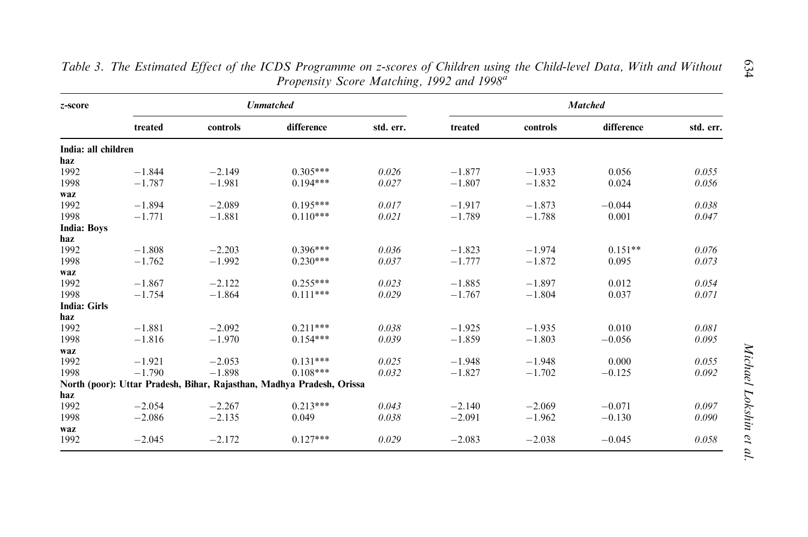|                     |          |          | <b>Unmatched</b>                                                      |           | <b>Matched</b> |          |            |           |  |
|---------------------|----------|----------|-----------------------------------------------------------------------|-----------|----------------|----------|------------|-----------|--|
|                     | treated  | controls | difference                                                            | std. err. | treated        | controls | difference | std. err. |  |
| India: all children |          |          |                                                                       |           |                |          |            |           |  |
| haz                 |          |          |                                                                       |           |                |          |            |           |  |
| 1992                | $-1.844$ | $-2.149$ | $0.305***$                                                            | 0.026     | $-1.877$       | $-1.933$ | 0.056      | 0.055     |  |
| 1998                | $-1.787$ | $-1.981$ | $0.194***$                                                            | 0.027     | $-1.807$       | $-1.832$ | 0.024      | 0.056     |  |
| waz                 |          |          |                                                                       |           |                |          |            |           |  |
| 1992                | $-1.894$ | $-2.089$ | $0.195***$                                                            | 0.017     | $-1.917$       | $-1.873$ | $-0.044$   | 0.038     |  |
| 1998                | $-1.771$ | $-1.881$ | $0.110***$                                                            | 0.021     | $-1.789$       | $-1.788$ | 0.001      | 0.047     |  |
| <b>India: Boys</b>  |          |          |                                                                       |           |                |          |            |           |  |
| haz                 |          |          |                                                                       |           |                |          |            |           |  |
| 1992                | $-1.808$ | $-2.203$ | $0.396***$                                                            | 0.036     | $-1.823$       | $-1.974$ | $0.151**$  | 0.076     |  |
| 1998                | $-1.762$ | $-1.992$ | $0.230***$                                                            | 0.037     | $-1.777$       | $-1.872$ | 0.095      | 0.073     |  |
| waz                 |          |          |                                                                       |           |                |          |            |           |  |
| 1992                | $-1.867$ | $-2.122$ | $0.255***$                                                            | 0.023     | $-1.885$       | $-1.897$ | 0.012      | 0.054     |  |
| 1998                | $-1.754$ | $-1.864$ | $0.111***$                                                            | 0.029     | $-1.767$       | $-1.804$ | 0.037      | 0.071     |  |
| <b>India: Girls</b> |          |          |                                                                       |           |                |          |            |           |  |
| haz                 |          |          |                                                                       |           |                |          |            |           |  |
| 1992                | $-1.881$ | $-2.092$ | $0.211***$                                                            | 0.038     | $-1.925$       | $-1.935$ | 0.010      | 0.081     |  |
| 1998                | $-1.816$ | $-1.970$ | $0.154***$                                                            | 0.039     | $-1.859$       | $-1.803$ | $-0.056$   | 0.095     |  |
| waz                 |          |          |                                                                       |           |                |          |            |           |  |
| 1992                | $-1.921$ | $-2.053$ | $0.131***$                                                            | 0.025     | $-1.948$       | $-1.948$ | 0.000      | 0.055     |  |
| 1998                | $-1.790$ | $-1.898$ | $0.108***$                                                            | 0.032     | $-1.827$       | $-1.702$ | $-0.125$   | 0.092     |  |
|                     |          |          | North (poor): Uttar Pradesh, Bihar, Rajasthan, Madhya Pradesh, Orissa |           |                |          |            |           |  |
| haz                 |          |          |                                                                       |           |                |          |            |           |  |
| 1992                | $-2.054$ | $-2.267$ | $0.213***$                                                            | 0.043     | $-2.140$       | $-2.069$ | $-0.071$   | 0.097     |  |
| 1998                | $-2.086$ | $-2.135$ | 0.049                                                                 | 0.038     | $-2.091$       | $-1.962$ | $-0.130$   | 0.090     |  |
| waz                 |          |          |                                                                       |           |                |          |            |           |  |
| 1992                | $-2.045$ | $-2.172$ | $0.127***$                                                            | 0.029     | $-2.083$       | $-2.038$ | $-0.045$   | 0.058     |  |

Table 3. The Estimated Effect of the ICDS Programme on z-scores of Children using the Child-level Data, With and Without Propensity Score Matching, 1992 and 1998<sup>a</sup>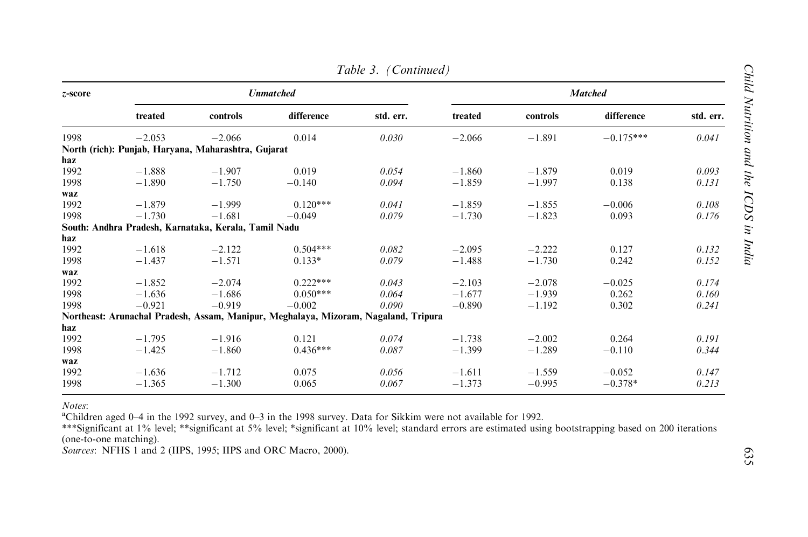|         |          |                                                      |                                                                                     | $1$ uvic $3.1$ Communical |                |          |             |           |  |  |
|---------|----------|------------------------------------------------------|-------------------------------------------------------------------------------------|---------------------------|----------------|----------|-------------|-----------|--|--|
| z-score |          |                                                      | <b>Unmatched</b>                                                                    |                           | <b>Matched</b> |          |             |           |  |  |
|         | treated  | controls                                             | difference                                                                          | std. err.                 | treated        | controls | difference  | std. err. |  |  |
| 1998    | $-2.053$ | $-2.066$                                             | 0.014                                                                               | 0.030                     | $-2.066$       | $-1.891$ | $-0.175***$ | 0.041     |  |  |
|         |          | North (rich): Punjab, Haryana, Maharashtra, Gujarat  |                                                                                     |                           |                |          |             |           |  |  |
| haz     |          |                                                      |                                                                                     |                           |                |          |             |           |  |  |
| 1992    | $-1.888$ | $-1.907$                                             | 0.019                                                                               | 0.054                     | $-1.860$       | $-1.879$ | 0.019       | 0.093     |  |  |
| 1998    | $-1.890$ | $-1.750$                                             | $-0.140$                                                                            | 0.094                     | $-1.859$       | $-1.997$ | 0.138       | 0.131     |  |  |
| waz     |          |                                                      |                                                                                     |                           |                |          |             |           |  |  |
| 1992    | $-1.879$ | $-1.999$                                             | $0.120***$                                                                          | 0.041                     | $-1.859$       | $-1.855$ | $-0.006$    | 0.108     |  |  |
| 1998    | $-1.730$ | $-1.681$                                             | $-0.049$                                                                            | 0.079                     | $-1.730$       | $-1.823$ | 0.093       | 0.176     |  |  |
|         |          | South: Andhra Pradesh, Karnataka, Kerala, Tamil Nadu |                                                                                     |                           |                |          |             |           |  |  |
| haz     |          |                                                      |                                                                                     |                           |                |          |             |           |  |  |
| 1992    | $-1.618$ | $-2.122$                                             | $0.504***$                                                                          | 0.082                     | $-2.095$       | $-2.222$ | 0.127       | 0.132     |  |  |
| 1998    | $-1.437$ | $-1.571$                                             | $0.133*$                                                                            | 0.079                     | $-1.488$       | $-1.730$ | 0.242       | 0.152     |  |  |
| waz     |          |                                                      |                                                                                     |                           |                |          |             |           |  |  |
| 1992    | $-1.852$ | $-2.074$                                             | $0.222***$                                                                          | 0.043                     | $-2.103$       | $-2.078$ | $-0.025$    | 0.174     |  |  |
| 1998    | $-1.636$ | $-1.686$                                             | $0.050***$                                                                          | 0.064                     | $-1.677$       | $-1.939$ | 0.262       | 0.160     |  |  |
| 1998    | $-0.921$ | $-0.919$                                             | $-0.002$                                                                            | 0.090                     | $-0.890$       | $-1.192$ | 0.302       | 0.241     |  |  |
|         |          |                                                      | Northeast: Arunachal Pradesh, Assam, Manipur, Meghalaya, Mizoram, Nagaland, Tripura |                           |                |          |             |           |  |  |
| haz     |          |                                                      |                                                                                     |                           |                |          |             |           |  |  |
| 1992    | $-1.795$ | $-1.916$                                             | 0.121                                                                               | 0.074                     | $-1.738$       | $-2.002$ | 0.264       | 0.191     |  |  |
| 1998    | $-1.425$ | $-1.860$                                             | $0.436***$                                                                          | 0.087                     | $-1.399$       | $-1.289$ | $-0.110$    | 0.344     |  |  |
| waz     |          |                                                      |                                                                                     |                           |                |          |             |           |  |  |
| 1992    | $-1.636$ | $-1.712$                                             | 0.075                                                                               | 0.056                     | $-1.611$       | $-1.559$ | $-0.052$    | 0.147     |  |  |
| 1998    | $-1.365$ | $-1.300$                                             | 0.065                                                                               | 0.067                     | $-1.373$       | $-0.995$ | $-0.378*$   | 0.213     |  |  |
|         |          |                                                      |                                                                                     |                           |                |          |             |           |  |  |

Notes:

aChildren aged 0–4 in the 1992 survey, and 0–3 in the 1998 survey. Data for Sikkim were not available for 1992.

\*\*\*Significant at 1% level; \*\*significant at 5% level; \*significant at 10% level; standard errors are estimated using bootstrapping based on 200 iterations (one-to-one matching).

Sources: NFHS 1 and 2 (IIPS, 1995; IIPS and ORC Macro, 2000).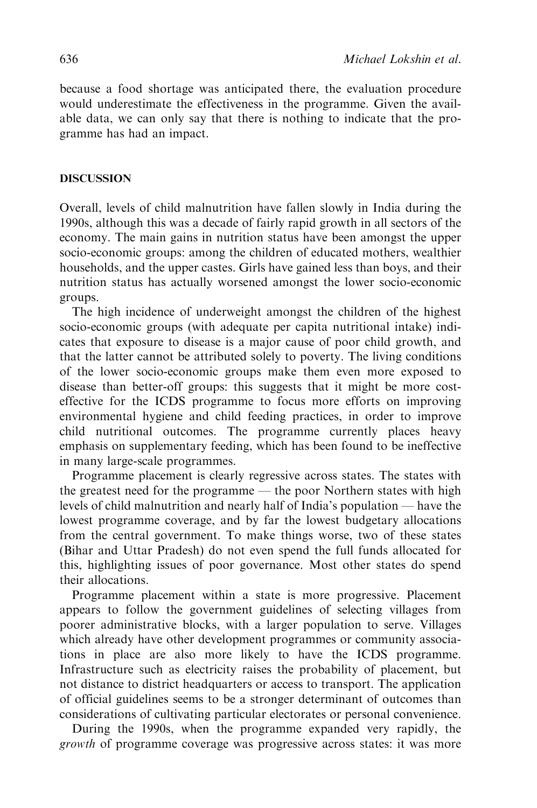because a food shortage was anticipated there, the evaluation procedure would underestimate the effectiveness in the programme. Given the available data, we can only say that there is nothing to indicate that the programme has had an impact.

# **DISCUSSION**

Overall, levels of child malnutrition have fallen slowly in India during the 1990s, although this was a decade of fairly rapid growth in all sectors of the economy. The main gains in nutrition status have been amongst the upper socio-economic groups: among the children of educated mothers, wealthier households, and the upper castes. Girls have gained less than boys, and their nutrition status has actually worsened amongst the lower socio-economic groups.

The high incidence of underweight amongst the children of the highest socio-economic groups (with adequate per capita nutritional intake) indicates that exposure to disease is a major cause of poor child growth, and that the latter cannot be attributed solely to poverty. The living conditions of the lower socio-economic groups make them even more exposed to disease than better-off groups: this suggests that it might be more costeffective for the ICDS programme to focus more efforts on improving environmental hygiene and child feeding practices, in order to improve child nutritional outcomes. The programme currently places heavy emphasis on supplementary feeding, which has been found to be ineffective in many large-scale programmes.

Programme placement is clearly regressive across states. The states with the greatest need for the programme — the poor Northern states with high levels of child malnutrition and nearly half of India's population — have the lowest programme coverage, and by far the lowest budgetary allocations from the central government. To make things worse, two of these states (Bihar and Uttar Pradesh) do not even spend the full funds allocated for this, highlighting issues of poor governance. Most other states do spend their allocations.

Programme placement within a state is more progressive. Placement appears to follow the government guidelines of selecting villages from poorer administrative blocks, with a larger population to serve. Villages which already have other development programmes or community associations in place are also more likely to have the ICDS programme. Infrastructure such as electricity raises the probability of placement, but not distance to district headquarters or access to transport. The application of official guidelines seems to be a stronger determinant of outcomes than considerations of cultivating particular electorates or personal convenience.

During the 1990s, when the programme expanded very rapidly, the growth of programme coverage was progressive across states: it was more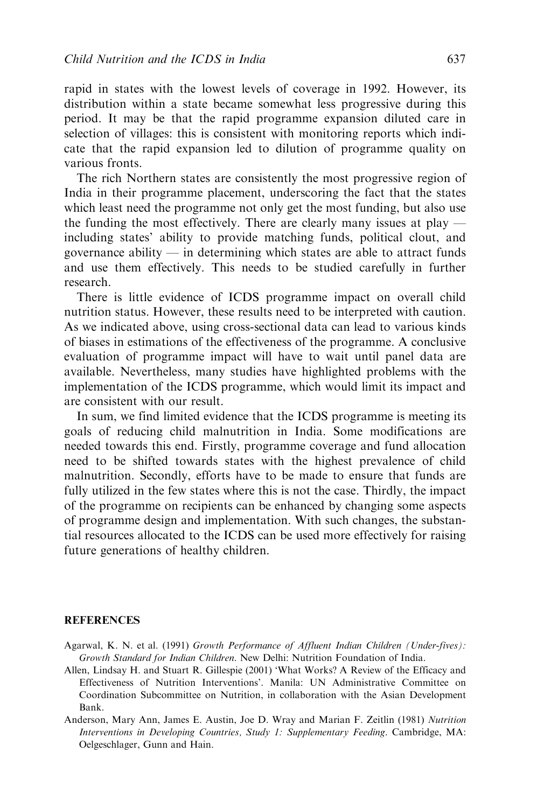rapid in states with the lowest levels of coverage in 1992. However, its distribution within a state became somewhat less progressive during this period. It may be that the rapid programme expansion diluted care in selection of villages: this is consistent with monitoring reports which indicate that the rapid expansion led to dilution of programme quality on various fronts.

The rich Northern states are consistently the most progressive region of India in their programme placement, underscoring the fact that the states which least need the programme not only get the most funding, but also use the funding the most effectively. There are clearly many issues at play including states' ability to provide matching funds, political clout, and governance ability — in determining which states are able to attract funds and use them effectively. This needs to be studied carefully in further research.

There is little evidence of ICDS programme impact on overall child nutrition status. However, these results need to be interpreted with caution. As we indicated above, using cross-sectional data can lead to various kinds of biases in estimations of the effectiveness of the programme. A conclusive evaluation of programme impact will have to wait until panel data are available. Nevertheless, many studies have highlighted problems with the implementation of the ICDS programme, which would limit its impact and are consistent with our result.

In sum, we find limited evidence that the ICDS programme is meeting its goals of reducing child malnutrition in India. Some modifications are needed towards this end. Firstly, programme coverage and fund allocation need to be shifted towards states with the highest prevalence of child malnutrition. Secondly, efforts have to be made to ensure that funds are fully utilized in the few states where this is not the case. Thirdly, the impact of the programme on recipients can be enhanced by changing some aspects of programme design and implementation. With such changes, the substantial resources allocated to the ICDS can be used more effectively for raising future generations of healthy children.

#### **REFERENCES**

- Agarwal, K. N. et al. (1991) Growth Performance of Affluent Indian Children (Under-fives): Growth Standard for Indian Children. New Delhi: Nutrition Foundation of India.
- Allen, Lindsay H. and Stuart R. Gillespie (2001) 'What Works? A Review of the Efficacy and Effectiveness of Nutrition Interventions'. Manila: UN Administrative Committee on Coordination Subcommittee on Nutrition, in collaboration with the Asian Development Bank.
- Anderson, Mary Ann, James E. Austin, Joe D. Wray and Marian F. Zeitlin (1981) Nutrition Interventions in Developing Countries, Study 1: Supplementary Feeding. Cambridge, MA: Oelgeschlager, Gunn and Hain.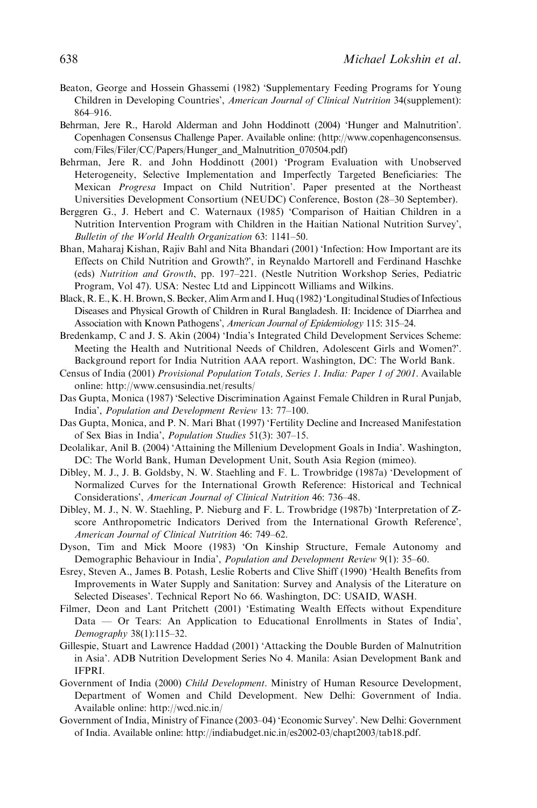- Beaton, George and Hossein Ghassemi (1982) 'Supplementary Feeding Programs for Young Children in Developing Countries', American Journal of Clinical Nutrition 34(supplement): 864–916.
- Behrman, Jere R., Harold Alderman and John Hoddinott (2004) 'Hunger and Malnutrition'. Copenhagen Consensus Challenge Paper. Available online: (http://www.copenhagenconsensus. com/Files/Filer/CC/Papers/Hunger\_and\_Malnutrition\_070504.pdf)
- Behrman, Jere R. and John Hoddinott (2001) 'Program Evaluation with Unobserved Heterogeneity, Selective Implementation and Imperfectly Targeted Beneficiaries: The Mexican Progresa Impact on Child Nutrition'. Paper presented at the Northeast Universities Development Consortium (NEUDC) Conference, Boston (28–30 September).
- Berggren G., J. Hebert and C. Waternaux (1985) 'Comparison of Haitian Children in a Nutrition Intervention Program with Children in the Haitian National Nutrition Survey', Bulletin of the World Health Organization 63: 1141–50.
- Bhan, Maharaj Kishan, Rajiv Bahl and Nita Bhandari (2001) 'Infection: How Important are its Effects on Child Nutrition and Growth?', in Reynaldo Martorell and Ferdinand Haschke (eds) Nutrition and Growth, pp. 197–221. (Nestle Nutrition Workshop Series, Pediatric Program, Vol 47). USA: Nestec Ltd and Lippincott Williams and Wilkins.
- Black, R. E., K. H. Brown, S. Becker, Alim Arm and I. Huq (1982) 'Longitudinal Studies of Infectious Diseases and Physical Growth of Children in Rural Bangladesh. II: Incidence of Diarrhea and Association with Known Pathogens', American Journal of Epidemiology 115: 315–24.
- Bredenkamp, C and J. S. Akin (2004) 'India's Integrated Child Development Services Scheme: Meeting the Health and Nutritional Needs of Children, Adolescent Girls and Women?'. Background report for India Nutrition AAA report. Washington, DC: The World Bank.
- Census of India (2001) Provisional Population Totals, Series 1. India: Paper 1 of 2001. Available online: http://www.censusindia.net/results/
- Das Gupta, Monica (1987) 'Selective Discrimination Against Female Children in Rural Punjab, India', Population and Development Review 13: 77–100.
- Das Gupta, Monica, and P. N. Mari Bhat (1997) 'Fertility Decline and Increased Manifestation of Sex Bias in India', Population Studies 51(3): 307–15.
- Deolalikar, Anil B. (2004) 'Attaining the Millenium Development Goals in India'. Washington, DC: The World Bank, Human Development Unit, South Asia Region (mimeo).
- Dibley, M. J., J. B. Goldsby, N. W. Staehling and F. L. Trowbridge (1987a) 'Development of Normalized Curves for the International Growth Reference: Historical and Technical Considerations', American Journal of Clinical Nutrition 46: 736–48.
- Dibley, M. J., N. W. Staehling, P. Nieburg and F. L. Trowbridge (1987b) 'Interpretation of Zscore Anthropometric Indicators Derived from the International Growth Reference', American Journal of Clinical Nutrition 46: 749–62.
- Dyson, Tim and Mick Moore (1983) 'On Kinship Structure, Female Autonomy and Demographic Behaviour in India', Population and Development Review 9(1): 35–60.
- Esrey, Steven A., James B. Potash, Leslie Roberts and Clive Shiff (1990) 'Health Benefits from Improvements in Water Supply and Sanitation: Survey and Analysis of the Literature on Selected Diseases'. Technical Report No 66. Washington, DC: USAID, WASH.
- Filmer, Deon and Lant Pritchett (2001) 'Estimating Wealth Effects without Expenditure Data — Or Tears: An Application to Educational Enrollments in States of India', Demography 38(1):115–32.
- Gillespie, Stuart and Lawrence Haddad (2001) 'Attacking the Double Burden of Malnutrition in Asia'. ADB Nutrition Development Series No 4. Manila: Asian Development Bank and IFPRI.
- Government of India (2000) Child Development. Ministry of Human Resource Development, Department of Women and Child Development. New Delhi: Government of India. Available online: http://wcd.nic.in/
- Government of India, Ministry of Finance (2003–04) 'Economic Survey'. New Delhi: Government of India. Available online: http://indiabudget.nic.in/es2002-03/chapt2003/tab18.pdf.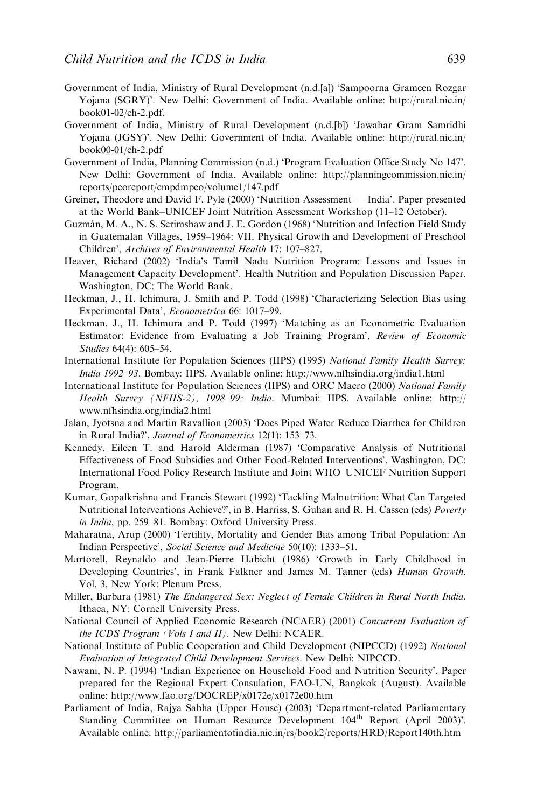- Government of India, Ministry of Rural Development (n.d.[a]) 'Sampoorna Grameen Rozgar Yojana (SGRY)'. New Delhi: Government of India. Available online: http://rural.nic.in/ book01-02/ch-2.pdf.
- Government of India, Ministry of Rural Development (n.d.[b]) 'Jawahar Gram Samridhi Yojana (JGSY)'. New Delhi: Government of India. Available online: http://rural.nic.in/ book00-01/ch-2.pdf
- Government of India, Planning Commission (n.d.) 'Program Evaluation Office Study No 147'. New Delhi: Government of India. Available online: http://planningcommission.nic.in/ reports/peoreport/cmpdmpeo/volume1/147.pdf
- Greiner, Theodore and David F. Pyle (2000) 'Nutrition Assessment India'. Paper presented at the World Bank–UNICEF Joint Nutrition Assessment Workshop (11–12 October).
- Guzmán, M. A., N. S. Scrimshaw and J. E. Gordon (1968) 'Nutrition and Infection Field Study in Guatemalan Villages, 1959–1964: VII. Physical Growth and Development of Preschool Children', Archives of Environmental Health 17: 107–827.
- Heaver, Richard (2002) 'India's Tamil Nadu Nutrition Program: Lessons and Issues in Management Capacity Development'. Health Nutrition and Population Discussion Paper. Washington, DC: The World Bank.
- Heckman, J., H. Ichimura, J. Smith and P. Todd (1998) 'Characterizing Selection Bias using Experimental Data', Econometrica 66: 1017–99.
- Heckman, J., H. Ichimura and P. Todd (1997) 'Matching as an Econometric Evaluation Estimator: Evidence from Evaluating a Job Training Program', Review of Economic Studies 64(4): 605–54.
- International Institute for Population Sciences (IIPS) (1995) National Family Health Survey: India 1992–93. Bombay: IIPS. Available online: http://www.nfhsindia.org/india1.html
- International Institute for Population Sciences (IIPS) and ORC Macro (2000) National Family Health Survey (NFHS-2), 1998–99: India. Mumbai: IIPS. Available online: http:// www.nfhsindia.org/india2.html
- Jalan, Jyotsna and Martin Ravallion (2003) 'Does Piped Water Reduce Diarrhea for Children in Rural India?', Journal of Econometrics 12(1): 153–73.
- Kennedy, Eileen T. and Harold Alderman (1987) 'Comparative Analysis of Nutritional Effectiveness of Food Subsidies and Other Food-Related Interventions'. Washington, DC: International Food Policy Research Institute and Joint WHO–UNICEF Nutrition Support Program.
- Kumar, Gopalkrishna and Francis Stewart (1992) 'Tackling Malnutrition: What Can Targeted Nutritional Interventions Achieve?', in B. Harriss, S. Guhan and R. H. Cassen (eds) Poverty in India, pp. 259–81. Bombay: Oxford University Press.
- Maharatna, Arup (2000) 'Fertility, Mortality and Gender Bias among Tribal Population: An Indian Perspective', Social Science and Medicine 50(10): 1333–51.
- Martorell, Reynaldo and Jean-Pierre Habicht (1986) 'Growth in Early Childhood in Developing Countries', in Frank Falkner and James M. Tanner (eds) Human Growth, Vol. 3. New York: Plenum Press.
- Miller, Barbara (1981) The Endangered Sex: Neglect of Female Children in Rural North India. Ithaca, NY: Cornell University Press.
- National Council of Applied Economic Research (NCAER) (2001) Concurrent Evaluation of the ICDS Program (Vols I and II). New Delhi: NCAER.
- National Institute of Public Cooperation and Child Development (NIPCCD) (1992) National Evaluation of Integrated Child Development Services. New Delhi: NIPCCD.
- Nawani, N. P. (1994) 'Indian Experience on Household Food and Nutrition Security'. Paper prepared for the Regional Expert Consulation, FAO-UN, Bangkok (August). Available online: http://www.fao.org/DOCREP/x0172e/x0172e00.htm
- Parliament of India, Rajya Sabha (Upper House) (2003) 'Department-related Parliamentary Standing Committee on Human Resource Development  $104<sup>th</sup>$  Report (April 2003)'. Available online: http://parliamentofindia.nic.in/rs/book2/reports/HRD/Report140th.htm